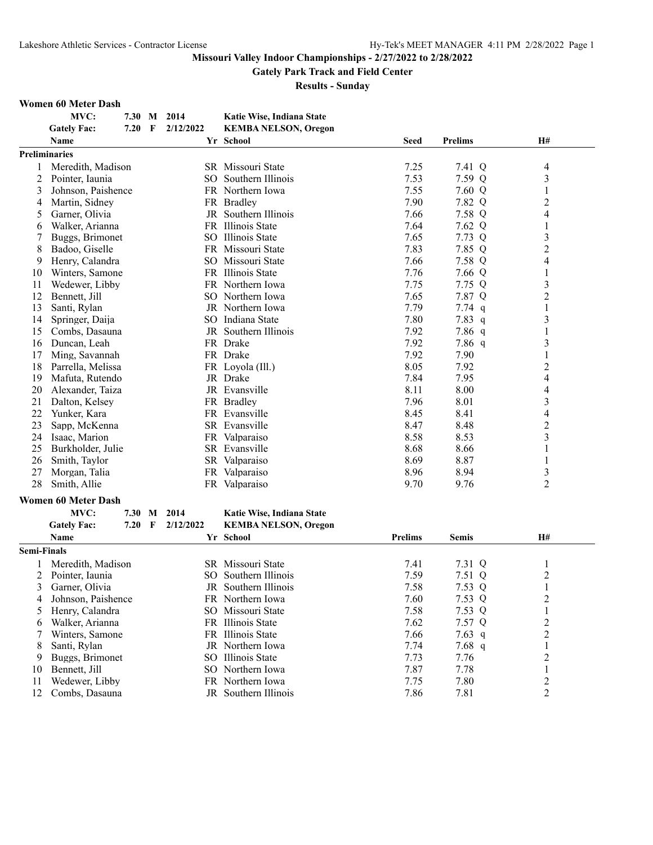**Gately Park Track and Field Center**

**Results - Sunday**

#### **Women 60 Meter Dash**

|                    | MVC:                       | 7.30 M   |   | 2014      | Katie Wise, Indiana State   |                |                |                |
|--------------------|----------------------------|----------|---|-----------|-----------------------------|----------------|----------------|----------------|
|                    | <b>Gately Fac:</b>         | 7.20     | F | 2/12/2022 | <b>KEMBA NELSON, Oregon</b> |                |                |                |
|                    | Name                       |          |   |           | Yr School                   | <b>Seed</b>    | <b>Prelims</b> | H#             |
|                    | <b>Preliminaries</b>       |          |   |           |                             |                |                |                |
|                    | Meredith, Madison          |          |   |           | SR Missouri State           | 7.25           | 7.41 Q         | 4              |
| 2                  | Pointer, Iaunia            |          |   |           | SO Southern Illinois        | 7.53           | 7.59 Q         | 3              |
| 3                  | Johnson, Paishence         |          |   |           | FR Northern Iowa            | 7.55           | 7.60 Q         | 1              |
| 4                  | Martin, Sidney             |          |   |           | FR Bradley                  | 7.90           | 7.82 Q         | $\overline{2}$ |
| 5                  | Garner, Olivia             |          |   |           | JR Southern Illinois        | 7.66           | 7.58 Q         | 4              |
| 6                  | Walker, Arianna            |          |   |           | FR Illinois State           | 7.64           | 7.62 Q         | 1              |
|                    | Buggs, Brimonet            |          |   |           | SO Illinois State           | 7.65           | 7.73 Q         | 3              |
| 8                  | Badoo, Giselle             |          |   |           | FR Missouri State           | 7.83           | 7.85 Q         | $\overline{c}$ |
| 9                  | Henry, Calandra            |          |   |           | SO Missouri State           | 7.66           | 7.58 Q         | 4              |
| 10                 | Winters, Samone            |          |   |           | FR Illinois State           | 7.76           | 7.66 Q         | 1              |
| 11                 | Wedewer, Libby             |          |   |           | FR Northern Iowa            | 7.75           | 7.75 Q         | 3              |
| 12                 | Bennett, Jill              |          |   |           | SO Northern Iowa            | 7.65           | 7.87 Q         | 2              |
| 13                 | Santi, Rylan               |          |   |           | JR Northern Iowa            | 7.79           | $7.74$ q       | 1              |
| 14                 | Springer, Daija            |          |   |           | SO Indiana State            | 7.80           | 7.83 $q$       | 3              |
| 15                 | Combs, Dasauna             |          |   |           | JR Southern Illinois        | 7.92           | $7.86$ q       |                |
| 16                 | Duncan, Leah               |          |   |           | FR Drake                    | 7.92           | 7.86 q         | 3              |
| 17                 | Ming, Savannah             |          |   |           | FR Drake                    | 7.92           | 7.90           | 1              |
| 18                 | Parrella, Melissa          |          |   |           | FR Loyola (Ill.)            | 8.05           | 7.92           | 2              |
| 19                 | Mafuta, Rutendo            |          |   |           | JR Drake                    | 7.84           | 7.95           | 4              |
| 20                 | Alexander, Taiza           |          |   |           | JR Evansville               | 8.11           | 8.00           | 4              |
| 21                 | Dalton, Kelsey             |          |   |           | FR Bradley                  | 7.96           | 8.01           | 3              |
| 22                 | Yunker, Kara               |          |   |           | FR Evansville               | 8.45           | 8.41           | 4              |
| 23                 | Sapp, McKenna              |          |   |           | SR Evansville               | 8.47           | 8.48           | $\overline{c}$ |
| 24                 | Isaac, Marion              |          |   |           | FR Valparaiso               | 8.58           | 8.53           | 3              |
| 25                 | Burkholder, Julie          |          |   |           | SR Evansville               | 8.68           | 8.66           | 1              |
| 26                 | Smith, Taylor              |          |   |           | SR Valparaiso               | 8.69           | 8.87           | 1              |
| 27                 | Morgan, Talia              |          |   |           | FR Valparaiso               | 8.96           | 8.94           | 3              |
| 28                 | Smith, Allie               |          |   |           | FR Valparaiso               | 9.70           | 9.76           | $\overline{2}$ |
|                    |                            |          |   |           |                             |                |                |                |
|                    | <b>Women 60 Meter Dash</b> |          |   |           |                             |                |                |                |
|                    | MVC:                       | 7.30 M   |   | 2014      | Katie Wise, Indiana State   |                |                |                |
|                    | <b>Gately Fac:</b>         | $7.20$ F |   | 2/12/2022 | <b>KEMBA NELSON, Oregon</b> |                |                |                |
|                    | Name                       |          |   |           | Yr School                   | <b>Prelims</b> | <b>Semis</b>   | H#             |
| <b>Semi-Finals</b> |                            |          |   |           |                             |                |                |                |
|                    | Meredith, Madison          |          |   |           | SR Missouri State           | 7.41           | 7.31 Q         | $\mathbf{1}$   |
|                    | Pointer, Iaunia            |          |   |           | SO Southern Illinois        | 7.59           | 7.51 Q         | $\overline{2}$ |
|                    | 3 Garner, Olivia           |          |   |           | JR Southern Illinois        | 7.58           | 7.53 Q         | $\mathbf{1}$   |
| 4                  | Johnson, Paishence         |          |   |           | FR Northern Iowa            | 7.60           | 7.53 Q         | $\overline{c}$ |
| 5                  | Henry, Calandra            |          |   |           | SO Missouri State           | 7.58           | 7.53 Q         | 1              |
| 6                  | Walker, Arianna            |          |   |           | FR Illinois State           | 7.62           | 7.57 Q         | 2              |
|                    | Winters, Samone            |          |   |           | FR Illinois State           | 7.66           | $7.63$ q       | 2              |
| 8                  | Santi, Rylan               |          |   |           | JR Northern Iowa            | 7.74           | $7.68$ q       | 1              |
| 9                  | Buggs, Brimonet            |          |   |           | SO Illinois State           | 7.73           | 7.76           | $\overline{c}$ |
| 10                 | Bennett, Jill              |          |   |           | SO Northern Iowa            | 7.87           | 7.78           | 1              |
| 11                 | Wedewer, Libby             |          |   |           | FR Northern Iowa            | 7.75           | 7.80           | $\overline{c}$ |
| 12                 | Combs, Dasauna             |          |   |           | JR Southern Illinois        | 7.86           | 7.81           | 2              |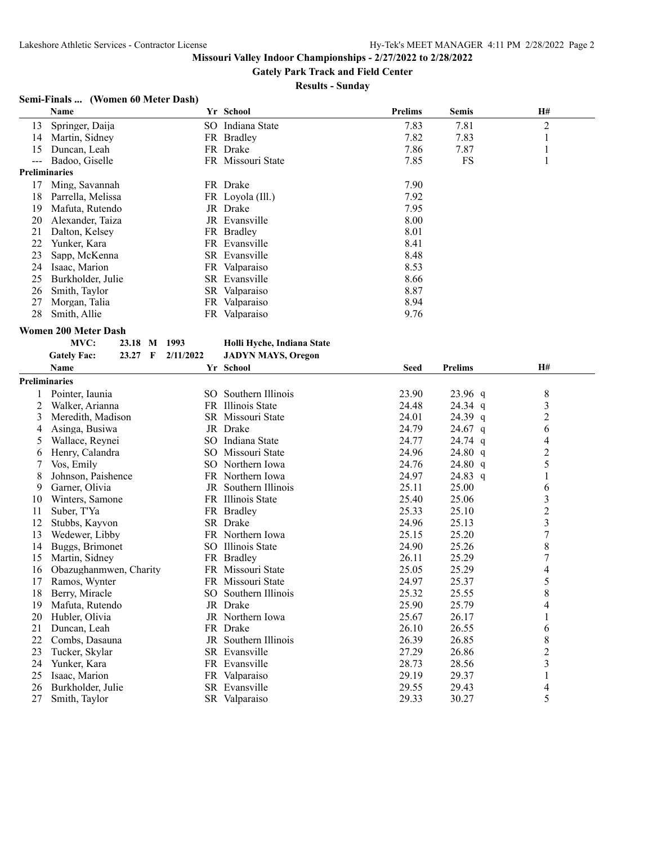**Gately Park Track and Field Center**

**Results - Sunday**

# **Semi-Finals ... (Women 60 Meter Dash)**

|       | Name                                        |           | Yr School                  | <b>Prelims</b> | <b>Semis</b>   | H#                       |
|-------|---------------------------------------------|-----------|----------------------------|----------------|----------------|--------------------------|
| 13    | Springer, Daija                             |           | SO Indiana State           | 7.83           | 7.81           | $\overline{c}$           |
| 14    | Martin, Sidney                              |           | FR Bradley                 | 7.82           | 7.83           | 1                        |
| 15    | Duncan, Leah                                |           | FR Drake                   | 7.86           | 7.87           | $\mathbf{1}$             |
| $---$ | Badoo, Giselle                              |           | FR Missouri State          | 7.85           | FS             | 1                        |
|       | <b>Preliminaries</b>                        |           |                            |                |                |                          |
| 17    | Ming, Savannah                              |           | FR Drake                   | 7.90           |                |                          |
| 18    | Parrella, Melissa                           |           | FR Loyola (Ill.)           | 7.92           |                |                          |
| 19    | Mafuta, Rutendo                             |           | JR Drake                   | 7.95           |                |                          |
| 20    | Alexander, Taiza                            |           | JR Evansville              | 8.00           |                |                          |
| 21    | Dalton, Kelsey                              |           | FR Bradley                 | 8.01           |                |                          |
| 22    | Yunker, Kara                                |           | FR Evansville              | 8.41           |                |                          |
| 23    | Sapp, McKenna                               |           | SR Evansville              | 8.48           |                |                          |
| 24    | Isaac, Marion                               |           | FR Valparaiso              | 8.53           |                |                          |
| 25    | Burkholder, Julie                           |           | SR Evansville              | 8.66           |                |                          |
| 26    | Smith, Taylor                               |           | SR Valparaiso              | 8.87           |                |                          |
| 27    | Morgan, Talia                               |           | FR Valparaiso              | 8.94           |                |                          |
| 28    | Smith, Allie                                |           | FR Valparaiso              | 9.76           |                |                          |
|       |                                             |           |                            |                |                |                          |
|       | <b>Women 200 Meter Dash</b>                 |           |                            |                |                |                          |
|       | MVC:<br>23.18 M 1993                        |           | Holli Hyche, Indiana State |                |                |                          |
|       | <b>Gately Fac:</b><br>23.27<br>$\mathbf{F}$ | 2/11/2022 | <b>JADYN MAYS, Oregon</b>  |                |                |                          |
|       | Name                                        |           | Yr School                  | <b>Seed</b>    | <b>Prelims</b> | <b>H#</b>                |
|       | <b>Preliminaries</b>                        |           |                            |                |                |                          |
|       | Pointer, Iaunia                             |           | SO Southern Illinois       | 23.90          | 23.96 q        | 8                        |
| 2     | Walker, Arianna                             |           | FR Illinois State          | 24.48          | 24.34 q        | 3                        |
| 3     | Meredith, Madison                           |           | SR Missouri State          | 24.01          | 24.39 q        | $\overline{c}$           |
| 4     | Asinga, Busiwa                              |           | JR Drake                   | 24.79          | 24.67 $q$      | 6                        |
| 5     | Wallace, Reynei                             |           | SO Indiana State           | 24.77          | $24.74$ q      | 4                        |
| 6     | Henry, Calandra                             |           | SO Missouri State          | 24.96          | 24.80 q        | $\overline{c}$           |
| 7     | Vos, Emily                                  |           | SO Northern Iowa           | 24.76          | 24.80 q        | 5                        |
| 8     | Johnson, Paishence                          |           | FR Northern Iowa           | 24.97          | 24.83 q        | $\mathbf{1}$             |
| 9     | Garner, Olivia                              |           | JR Southern Illinois       | 25.11          | 25.00          | 6                        |
| 10    | Winters, Samone                             |           | FR Illinois State          | 25.40          | 25.06          | 3                        |
| 11    | Suber, T'Ya                                 |           | FR Bradley                 | 25.33          | 25.10          | $\overline{c}$           |
| 12    | Stubbs, Kayvon                              |           | SR Drake                   | 24.96          | 25.13          | 3                        |
| 13    | Wedewer, Libby                              |           | FR Northern Iowa           | 25.15          | 25.20          | $\boldsymbol{7}$         |
| 14    | Buggs, Brimonet                             |           | SO Illinois State          | 24.90          | 25.26          | 8                        |
| 15    | Martin, Sidney                              |           | FR Bradley                 | 26.11          | 25.29          | 7                        |
| 16    | Obazughanmwen, Charity                      |           | FR Missouri State          | 25.05          | 25.29          | 4                        |
| 17    | Ramos, Wynter                               |           | FR Missouri State          | 24.97          | 25.37          | 5                        |
| 18    | Berry, Miracle                              |           | SO Southern Illinois       | 25.32          | 25.55          | 8                        |
| 19    | Mafuta, Rutendo                             |           | JR Drake                   | 25.90          | 25.79          | 4                        |
| 20    | Hubler, Olivia                              |           | JR Northern Iowa           | 25.67          | 26.17          | $\mathbf{1}$             |
| 21    | Duncan, Leah                                |           | FR Drake                   | 26.10          | 26.55          | 6                        |
| 22    | Combs, Dasauna                              |           | JR Southern Illinois       | 26.39          | 26.85          | 8                        |
| 23    | Tucker, Skylar                              |           | SR Evansville              | 27.29          | 26.86          | $\overline{c}$           |
| 24    | Yunker, Kara                                |           | FR Evansville              | 28.73          | 28.56          | $\overline{\mathbf{3}}$  |
| 25    | Isaac, Marion                               |           | FR Valparaiso              | 29.19          | 29.37          | $\mathbf{1}$             |
| 26    | Burkholder, Julie                           |           | SR Evansville              | 29.55          | 29.43          | $\overline{\mathcal{A}}$ |
| 27    | Smith, Taylor                               |           | SR Valparaiso              | 29.33          | 30.27          | 5                        |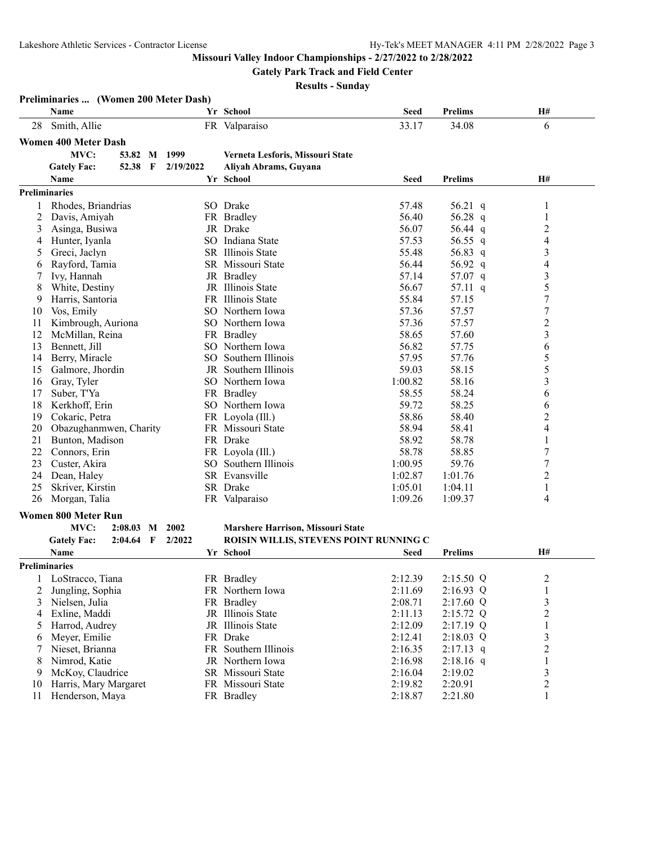**Gately Park Track and Field Center**

|          | Preliminaries  (Women 200 Meter Dash) |              |           |                                        |                                        |                    |                                           |
|----------|---------------------------------------|--------------|-----------|----------------------------------------|----------------------------------------|--------------------|-------------------------------------------|
|          | Name                                  |              |           | Yr School                              | <b>Seed</b>                            | <b>Prelims</b>     | H#                                        |
| 28       | Smith, Allie                          |              |           | FR Valparaiso                          | 33.17                                  | 34.08              | 6                                         |
|          | <b>Women 400 Meter Dash</b>           |              |           |                                        |                                        |                    |                                           |
|          | MVC:                                  | 53.82 M      | 1999      | Verneta Lesforis, Missouri State       |                                        |                    |                                           |
|          | 52.38<br><b>Gately Fac:</b>           | $\mathbf{F}$ | 2/19/2022 | Aliyah Abrams, Guyana                  |                                        |                    |                                           |
|          | Name                                  |              |           | Yr School                              | <b>Seed</b>                            | <b>Prelims</b>     | <b>H#</b>                                 |
|          | <b>Preliminaries</b>                  |              |           |                                        |                                        |                    |                                           |
| 1        | Rhodes, Briandrias                    |              |           | SO Drake                               | 57.48                                  | 56.21 $q$          | 1                                         |
| 2        | Davis, Amiyah                         |              |           | FR Bradley                             | 56.40                                  | 56.28 q            | $\mathbf{1}$                              |
| 3        | Asinga, Busiwa                        |              |           | JR Drake                               | 56.07                                  | 56.44 q            | $\overline{c}$                            |
| 4        | Hunter, Iyanla                        |              |           | SO Indiana State                       | 57.53                                  | 56.55 q            | $\overline{4}$                            |
| 5        | Greci, Jaclyn                         |              |           | SR Illinois State                      | 55.48                                  | 56.83 q            | $\mathfrak{Z}$                            |
| 6        | Rayford, Tamia                        |              |           | SR Missouri State                      | 56.44                                  | 56.92 q            | $\overline{\mathcal{L}}$                  |
| 7        | Ivy, Hannah                           |              |           | JR Bradley                             | 57.14                                  | 57.07 q            | 3                                         |
| 8        | White, Destiny                        |              |           | JR Illinois State                      | 56.67                                  | 57.11 q            | 5                                         |
| 9        | Harris, Santoria                      |              |           | FR Illinois State                      | 55.84                                  | 57.15              | 7                                         |
| 10       | Vos, Emily                            |              |           | SO Northern Iowa                       | 57.36                                  | 57.57              | 7                                         |
| 11       | Kimbrough, Auriona                    |              |           | SO Northern Iowa                       | 57.36                                  | 57.57              | $\overline{c}$                            |
| 12       | McMillan, Reina                       |              |           | FR Bradley                             | 58.65                                  | 57.60              | 3                                         |
| 13       | Bennett, Jill                         |              |           | SO Northern Iowa                       | 56.82                                  | 57.75              | 6                                         |
| 14       | Berry, Miracle                        |              |           | SO Southern Illinois                   | 57.95                                  | 57.76              | 5                                         |
| 15       | Galmore, Jhordin                      |              |           | JR Southern Illinois                   | 59.03                                  | 58.15              | 5                                         |
| 16       | Gray, Tyler                           |              |           | SO Northern Iowa                       | 1:00.82                                | 58.16              | 3                                         |
| 17       | Suber, T'Ya                           |              |           | FR Bradley                             | 58.55                                  | 58.24              | 6                                         |
| 18       | Kerkhoff, Erin                        |              |           | SO Northern Iowa                       | 59.72                                  | 58.25              | 6                                         |
| 19       | Cokaric, Petra                        |              |           | FR Loyola (Ill.)                       | 58.86                                  | 58.40              | $\overline{c}$                            |
| 20       | Obazughanmwen, Charity                |              |           | FR Missouri State                      | 58.94                                  | 58.41              | $\overline{4}$                            |
| 21       | Bunton, Madison                       |              |           | FR Drake                               | 58.92                                  | 58.78              | 1                                         |
| 22       | Connors, Erin                         |              |           | FR Loyola (Ill.)                       | 58.78                                  | 58.85              | 7                                         |
| 23       | Custer, Akira                         |              |           | SO Southern Illinois                   | 1:00.95                                | 59.76              | 7                                         |
| 24       | Dean, Haley                           |              |           | SR Evansville                          | 1:02.87                                | 1:01.76            | $\overline{c}$                            |
| 25       | Skriver, Kirstin                      |              |           | SR Drake                               | 1:05.01                                | 1:04.11            | $\mathbf{1}$                              |
| 26       | Morgan, Talia                         |              |           | FR Valparaiso                          | 1:09.26                                | 1:09.37            | 4                                         |
|          | <b>Women 800 Meter Run</b>            |              |           |                                        |                                        |                    |                                           |
|          | MVC:<br>2:08.03                       | M            | 2002      | Marshere Harrison, Missouri State      |                                        |                    |                                           |
|          | <b>Gately Fac:</b>                    | $2:04.64$ F  | 2/2022    |                                        | ROISIN WILLIS, STEVENS POINT RUNNING C |                    |                                           |
|          | Name                                  |              |           | Yr School                              | <b>Seed</b>                            | <b>Prelims</b>     | H#                                        |
|          |                                       |              |           |                                        |                                        |                    |                                           |
|          | <b>Preliminaries</b>                  |              |           |                                        |                                        |                    |                                           |
| 1        | LoStracco, Tiana                      |              |           | FR Bradley                             | 2:12.39                                | 2:15.50 Q          | $\boldsymbol{2}$                          |
| 2        | Jungling, Sophia                      |              |           | FR Northern Iowa                       | 2:11.69                                | 2:16.93 Q          | $\,1$                                     |
| 3        | Nielsen, Julia                        |              |           | FR Bradley                             | 2:08.71                                | $2:17.60$ Q        | $\mathfrak{Z}$                            |
| 4        | Exline, Maddi                         |              |           | JR Illinois State                      | 2:11.13                                | $2:15.72$ Q        | $\overline{2}$                            |
| 5        | Harrod, Audrey                        |              |           | JR Illinois State                      | 2:12.09                                | $2:17.19$ Q        | $\mathbf{1}$                              |
| 6        | Meyer, Emilie                         |              |           | FR Drake                               | 2:12.41                                | 2:18.03 Q          | $\overline{3}$                            |
| 7        | Nieset, Brianna                       |              |           | FR Southern Illinois                   | 2:16.35                                | $2:17.13$ q        | $\overline{c}$                            |
| 8        | Nimrod, Katie                         |              |           | JR Northern Iowa                       | 2:16.98                                | $2:18.16$ q        | $\,1$                                     |
| 9        | McKoy, Claudrice                      |              |           | SR Missouri State<br>FR Missouri State | 2:16.04                                | 2:19.02<br>2:20.91 | $\overline{\mathbf{3}}$<br>$\overline{2}$ |
| 10<br>11 | Harris, Mary Margaret                 |              |           | FR Bradley                             | 2:19.82                                |                    | $\mathbf{1}$                              |
|          | Henderson, Maya                       |              |           |                                        | 2:18.87                                | 2:21.80            |                                           |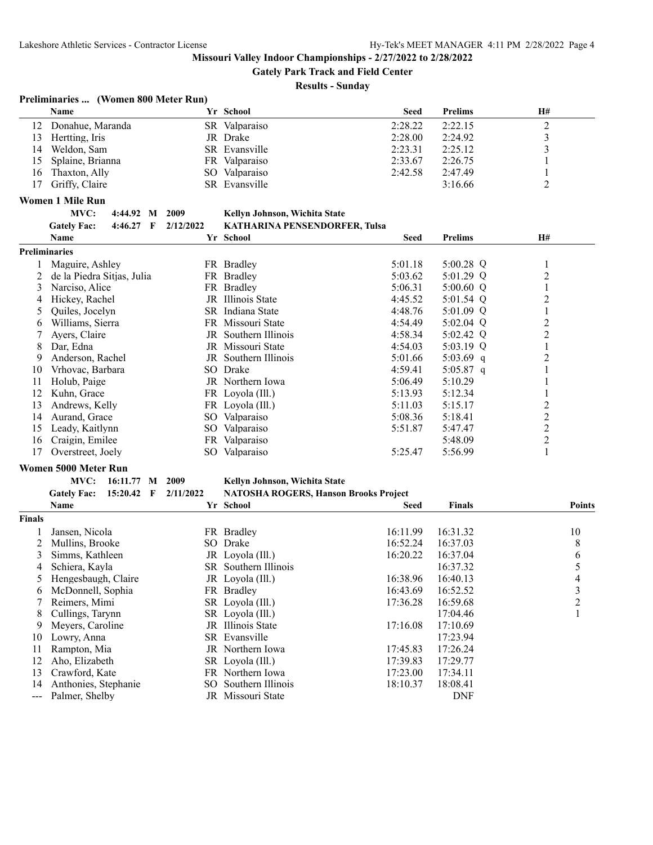**Gately Park Track and Field Center**

#### **Results - Sunday**

# **Preliminaries ... (Women 800 Meter Run)**

|    | <b>Name</b>         |     | Yr School     | <b>Seed</b> | <b>Prelims</b> | H# |
|----|---------------------|-----|---------------|-------------|----------------|----|
|    | Donahue, Maranda    | SR. | Valparaiso    | 2:28.22     | 2:22.15        |    |
| 13 | Hertting, Iris      |     | JR Drake      | 2:28.00     | 2:24.92        |    |
| 14 | Weldon, Sam         |     | SR Evansville | 2:23.31     | 2:25.12        |    |
|    | 15 Splaine, Brianna | FR. | Valparaiso    | 2:33.67     | 2:26.75        |    |
| 16 | Thaxton, Ally       |     | SO Valparaiso | 2:42.58     | 2:47.49        |    |
| 17 | Griffy, Claire      |     | SR Evansville |             | 3:16.66        |    |

#### **Women 1 Mile Run**

| MVC:               | 4:44.92 M 2009 |                     | Kellyn Johnson, Wichita State        |
|--------------------|----------------|---------------------|--------------------------------------|
| <b>Gately Fac:</b> |                | 4:46.27 F 2/12/2022 | <b>KATHARINA PENSENDORFER. Tulsa</b> |

|    | Gaitly Late<br><b>T.TV.AI</b> | $\frac{1}{2}$ | <b>KATHERWEYLT ENGENDONE EN, TUBB</b> |         |                |                |  |
|----|-------------------------------|---------------|---------------------------------------|---------|----------------|----------------|--|
|    | Name                          |               | Yr School                             | Seed    | <b>Prelims</b> | <b>H#</b>      |  |
|    | <b>Preliminaries</b>          |               |                                       |         |                |                |  |
|    | Maguire, Ashley               |               | FR Bradley                            | 5:01.18 | 5:00.28 $Q$    |                |  |
|    | de la Piedra Sitjas, Julia    |               | FR Bradley                            | 5:03.62 | $5:01.29$ Q    | $\overline{2}$ |  |
| 3  | Narciso, Alice                |               | FR Bradley                            | 5:06.31 | $5:00.60$ Q    |                |  |
| 4  | Hickey, Rachel                |               | JR Illinois State                     | 4:45.52 | 5:01.54 $Q$    | 2              |  |
| 5  | Quiles, Jocelyn               |               | SR Indiana State                      | 4:48.76 | 5:01.09 $Q$    |                |  |
| 6  | Williams, Sierra              |               | FR Missouri State                     | 4:54.49 | 5:02.04 $Q$    | 2              |  |
|    | Ayers, Claire                 |               | JR Southern Illinois                  | 4:58.34 | 5:02.42 $Q$    | $\overline{2}$ |  |
| 8  | Dar, Edna                     |               | JR Missouri State                     | 4:54.03 | $5:03.19$ Q    |                |  |
| 9  | Anderson, Rachel              |               | JR Southern Illinois                  | 5:01.66 | 5:03.69 $q$    | 2              |  |
| 10 | Vrhovac, Barbara              | SO            | Drake                                 | 4:59.41 | 5:05.87 q      |                |  |
| 11 | Holub, Paige                  |               | JR Northern Iowa                      | 5:06.49 | 5:10.29        |                |  |
| 12 | Kuhn, Grace                   |               | FR Loyola (Ill.)                      | 5:13.93 | 5:12.34        |                |  |
| 13 | Andrews, Kelly                |               | FR Loyola (Ill.)                      | 5:11.03 | 5:15.17        | 2              |  |
| 14 | Aurand, Grace                 | SO            | Valparaiso                            | 5:08.36 | 5:18.41        | 2              |  |
| 15 | Leady, Kaitlynn               | SO            | Valparaiso                            | 5:51.87 | 5:47.47        | 2              |  |
| 16 | Craigin, Emilee               |               | FR Valparaiso                         |         | 5:48.09        | $\overline{c}$ |  |
| 17 | Overstreet, Joely             |               | SO Valparaiso                         | 5:25.47 | 5:56.99        |                |  |

#### **Women 5000 Meter Run**

#### **MVC: 16:11.77 M 2009 Kellyn Johnson, Wichita State**

#### **Gately Fac: 15:20.42 F 2/11/2022 NATOSHA ROGERS, Hanson Brooks Project**

|               | Name                 |     | Yr School            | <b>Seed</b> | <b>Finals</b> | <b>Points</b> |
|---------------|----------------------|-----|----------------------|-------------|---------------|---------------|
| <b>Finals</b> |                      |     |                      |             |               |               |
|               | Jansen, Nicola       | FR. | Bradley              | 16:11.99    | 16:31.32      | 10            |
|               | Mullins, Brooke      |     | SO Drake             | 16:52.24    | 16:37.03      | 8             |
| 3             | Simms, Kathleen      |     | JR Loyola (Ill.)     | 16:20.22    | 16:37.04      | 6             |
| 4             | Schiera, Kavla       |     | SR Southern Illinois |             | 16:37.32      |               |
|               | Hengesbaugh, Claire  |     | JR Loyola (Ill.)     | 16:38.96    | 16:40.13      | 4             |
| 6             | McDonnell, Sophia    |     | FR Bradley           | 16:43.69    | 16:52.52      | 3             |
|               | Reimers, Mimi        |     | SR Loyola (Ill.)     | 17:36.28    | 16:59.68      | 2             |
| 8             | Cullings, Tarynn     |     | SR Loyola (Ill.)     |             | 17:04.46      |               |
| 9             | Meyers, Caroline     |     | JR Illinois State    | 17:16.08    | 17:10.69      |               |
| 10            | Lowry, Anna          |     | SR Evansville        |             | 17:23.94      |               |
| 11            | Rampton, Mia         |     | JR Northern Iowa     | 17:45.83    | 17:26.24      |               |
| 12            | Aho, Elizabeth       |     | SR Loyola (Ill.)     | 17:39.83    | 17:29.77      |               |
| 13            | Crawford, Kate       | FR. | Northern Iowa        | 17:23.00    | 17:34.11      |               |
| 14            | Anthonies, Stephanie |     | SO Southern Illinois | 18:10.37    | 18:08.41      |               |
|               | Palmer, Shelby       |     | JR Missouri State    |             | <b>DNF</b>    |               |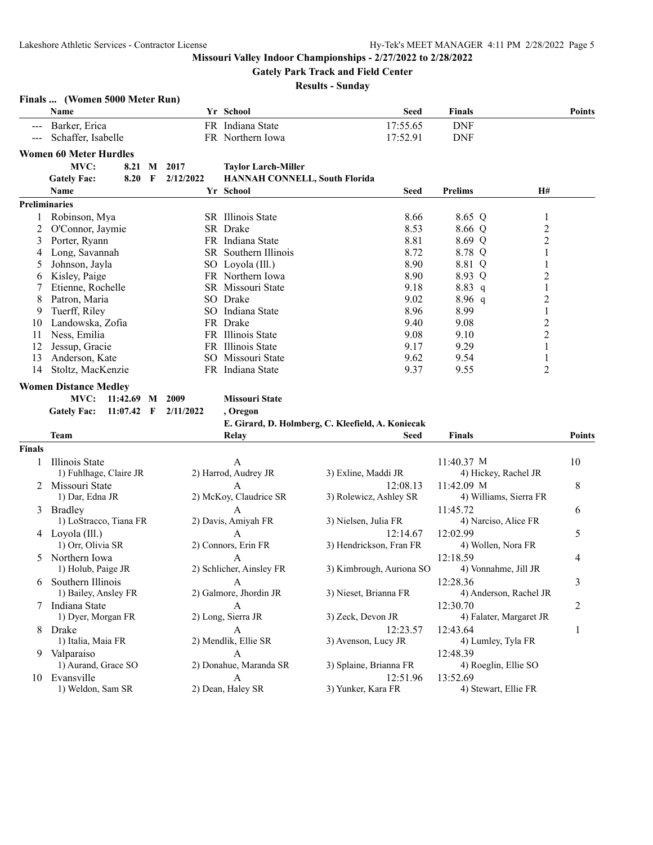**Finals ... (Women 5000 Meter Run)**

**Missouri Valley Indoor Championships - 2/27/2022 to 2/28/2022**

**Gately Park Track and Field Center**

|               | Name                               |                | Yr School                            | <b>Seed</b>                                       | <b>Finals</b>           | <b>Points</b>           |  |
|---------------|------------------------------------|----------------|--------------------------------------|---------------------------------------------------|-------------------------|-------------------------|--|
|               | Barker, Erica                      |                | FR Indiana State                     | 17:55.65                                          | <b>DNF</b>              |                         |  |
|               | Schaffer, Isabelle                 |                | FR Northern Iowa                     | 17:52.91                                          | <b>DNF</b>              |                         |  |
|               | <b>Women 60 Meter Hurdles</b>      |                |                                      |                                                   |                         |                         |  |
|               | MVC:<br>8.21                       | 2017<br>M      |                                      |                                                   |                         |                         |  |
|               |                                    |                | <b>Taylor Larch-Miller</b>           |                                                   |                         |                         |  |
|               | <b>Gately Fac:</b><br>8.20         | 2/12/2022<br>F | <b>HANNAH CONNELL, South Florida</b> |                                                   |                         |                         |  |
|               | Name                               |                | Yr School                            | Seed                                              | <b>Prelims</b>          | <b>H#</b>               |  |
|               | <b>Preliminaries</b>               |                |                                      |                                                   |                         |                         |  |
|               | Robinson, Mya                      |                | SR Illinois State                    | 8.66                                              | 8.65 Q                  | 1                       |  |
| 2             | O'Connor, Jaymie                   |                | SR Drake                             | 8.53                                              | 8.66 Q                  | $\overline{c}$          |  |
| 3             | Porter, Ryann                      |                | FR Indiana State                     | 8.81                                              | 8.69 Q                  | $\overline{c}$          |  |
| 4             | Long, Savannah                     |                | SR Southern Illinois                 | 8.72                                              | 8.78 Q                  | $\mathbf{1}$            |  |
| 5             | Johnson, Jayla                     |                | SO Loyola (Ill.)                     | 8.90                                              | 8.81 Q                  | $\mathbf{1}$            |  |
| 6             | Kisley, Paige                      |                | FR Northern Iowa                     | 8.90                                              | 8.93 Q                  | $\overline{c}$          |  |
|               | Etienne, Rochelle                  |                | SR Missouri State                    | 9.18                                              | 8.83 q                  | $\,1$                   |  |
| 8             | Patron, Maria                      |                | SO Drake                             | 9.02                                              | $8.96\ q$               | $\overline{\mathbf{c}}$ |  |
| 9             | Tuerff, Riley                      |                | SO Indiana State                     | 8.96                                              | 8.99                    | $\mathbf{1}$            |  |
| 10            | Landowska, Zofia                   |                | FR Drake                             | 9.40                                              | 9.08                    | $\overline{c}$          |  |
| 11            | Ness, Emilia                       |                | FR Illinois State                    | 9.08                                              | 9.10                    | $\overline{2}$          |  |
| 12            | Jessup, Gracie                     |                | FR Illinois State                    | 9.17                                              | 9.29                    | 1                       |  |
| 13            | Anderson, Kate                     |                | SO Missouri State                    | 9.62                                              | 9.54                    | $\mathbf{1}$            |  |
| 14            | Stoltz, MacKenzie                  |                | FR Indiana State                     | 9.37                                              | 9.55                    | $\overline{c}$          |  |
|               | <b>Women Distance Medley</b>       |                |                                      |                                                   |                         |                         |  |
|               | MVC:<br>11:42.69 M 2009            |                | <b>Missouri State</b>                |                                                   |                         |                         |  |
|               | <b>Gately Fac:</b><br>$11:07.42$ F | 2/11/2022      | , Oregon                             |                                                   |                         |                         |  |
|               |                                    |                |                                      | E. Girard, D. Holmberg, C. Kleefield, A. Koniecak |                         |                         |  |
|               | Team                               |                | <b>Relay</b>                         | Seed                                              | Finals                  | <b>Points</b>           |  |
|               |                                    |                |                                      |                                                   |                         |                         |  |
| <b>Finals</b> |                                    |                |                                      |                                                   |                         |                         |  |
| 1             | Illinois State                     |                | A                                    |                                                   | 11:40.37 M              | 10                      |  |
|               | 1) Fuhlhage, Claire JR             |                | 2) Harrod, Audrey JR                 | 3) Exline, Maddi JR                               | 4) Hickey, Rachel JR    |                         |  |
| 2             | Missouri State                     |                | A                                    | 12:08.13                                          | 11:42.09 M              | 8                       |  |
|               | 1) Dar, Edna JR                    |                | 2) McKoy, Claudrice SR               | 3) Rolewicz, Ashley SR                            | 4) Williams, Sierra FR  |                         |  |
| 3             | <b>Bradley</b>                     |                | A                                    |                                                   | 11:45.72                | 6                       |  |
|               | 1) LoStracco, Tiana FR             |                | 2) Davis, Amiyah FR                  | 3) Nielsen, Julia FR                              | 4) Narciso, Alice FR    |                         |  |
|               | 4 Loyola (Ill.)                    |                | $\mathbf{A}$                         | 12:14.67                                          | 12:02.99                | 5                       |  |
|               | 1) Orr, Olivia SR                  |                | 2) Connors, Erin FR                  | 3) Hendrickson, Fran FR                           | 4) Wollen, Nora FR      |                         |  |
| 5             | Northern Iowa                      |                | A                                    |                                                   | 12:18.59                | 4                       |  |
|               | 1) Holub, Paige JR                 |                | 2) Schlicher, Ainsley FR             | 3) Kimbrough, Auriona SO                          | 4) Vonnahme, Jill JR    |                         |  |
| 6             | Southern Illinois                  |                | A                                    |                                                   | 12:28.36                | 3                       |  |
|               | 1) Bailey, Ansley FR               |                | 2) Galmore, Jhordin JR               | 3) Nieset, Brianna FR                             | 4) Anderson, Rachel JR  |                         |  |
|               | 7 Indiana State                    |                | А                                    |                                                   | 12:30.70                | 2                       |  |
|               | 1) Dyer, Morgan FR                 |                | 2) Long, Sierra JR                   | 3) Zeck, Devon JR                                 | 4) Falater, Margaret JR |                         |  |
|               | 8 Drake                            |                | A                                    | 12:23.57                                          | 12:43.64                | 1                       |  |
|               | 1) Italia, Maia FR                 |                | 2) Mendlik, Ellie SR                 | 3) Avenson, Lucy JR                               | 4) Lumley, Tyla FR      |                         |  |
|               | 9 Valparaiso                       |                | A                                    |                                                   | 12:48.39                |                         |  |
|               | 1) Aurand, Grace SO                |                | 2) Donahue, Maranda SR               | 3) Splaine, Brianna FR                            | 4) Roeglin, Ellie SO    |                         |  |
|               | 10 Evansville                      |                | $\boldsymbol{\mathsf{A}}$            | 12:51.96                                          | 13:52.69                |                         |  |
|               | 1) Weldon, Sam SR                  |                | 2) Dean, Haley SR                    | 3) Yunker, Kara FR                                | 4) Stewart, Ellie FR    |                         |  |
|               |                                    |                |                                      |                                                   |                         |                         |  |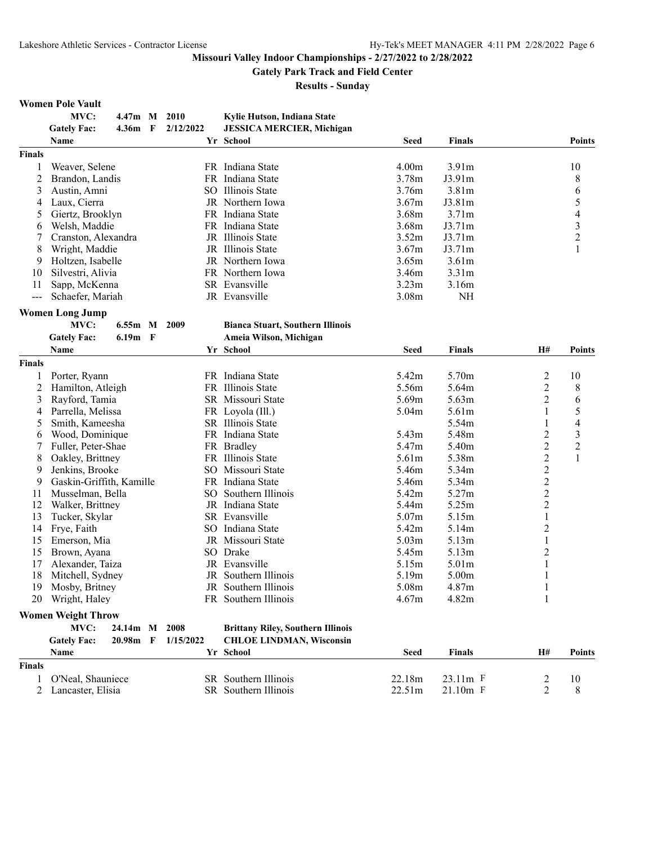# **Gately Park Track and Field Center**

**Results - Sunday**

#### **Women Pole Vault**

|                | MVC:                      | 4.47m M           |              | 2010      | Kylie Hutson, Indiana State              |                   |                   |                         |                          |
|----------------|---------------------------|-------------------|--------------|-----------|------------------------------------------|-------------------|-------------------|-------------------------|--------------------------|
|                | <b>Gately Fac:</b>        | 4.36m             | - F          | 2/12/2022 | <b>JESSICA MERCIER, Michigan</b>         |                   |                   |                         |                          |
|                | <b>Name</b>               |                   |              |           | Yr School                                | <b>Seed</b>       | <b>Finals</b>     |                         | <b>Points</b>            |
| <b>Finals</b>  |                           |                   |              |           |                                          |                   |                   |                         |                          |
| 1              | Weaver, Selene            |                   |              |           | FR Indiana State                         | 4.00m             | 3.91m             |                         | 10                       |
| 2              | Brandon, Landis           |                   |              |           | FR Indiana State                         | 3.78m             | J3.91m            |                         | 8                        |
| 3              | Austin, Amni              |                   |              |           | SO Illinois State                        | 3.76m             | 3.81 <sub>m</sub> |                         | 6                        |
| 4              | Laux, Cierra              |                   |              |           | JR Northern Iowa                         | 3.67m             | J3.81m            |                         | 5                        |
| 5              | Giertz, Brooklyn          |                   |              |           | FR Indiana State                         | 3.68m             | 3.71m             |                         | $\overline{\mathbf{4}}$  |
| 6              | Welsh, Maddie             |                   |              |           | FR Indiana State                         | 3.68m             | J3.71m            |                         |                          |
| 7              | Cranston, Alexandra       |                   |              |           | JR Illinois State                        | 3.52m             | J3.71m            |                         | $\frac{3}{2}$            |
| 8              | Wright, Maddie            |                   |              |           | JR Illinois State                        | 3.67m             | J3.71m            |                         | 1                        |
|                |                           |                   |              |           | JR Northern Iowa                         | 3.65m             |                   |                         |                          |
| 9              | Holtzen, Isabelle         |                   |              |           |                                          |                   | 3.61 <sub>m</sub> |                         |                          |
| 10             | Silvestri, Alivia         |                   |              |           | FR Northern Iowa                         | 3.46m             | 3.31m             |                         |                          |
| 11             | Sapp, McKenna             |                   |              |           | SR Evansville                            | 3.23m             | 3.16m             |                         |                          |
| $\frac{1}{2}$  | Schaefer, Mariah          |                   |              |           | JR Evansville                            | 3.08 <sub>m</sub> | NH                |                         |                          |
|                | <b>Women Long Jump</b>    |                   |              |           |                                          |                   |                   |                         |                          |
|                | MVC:                      | 6.55m M 2009      |              |           | <b>Bianca Stuart, Southern Illinois</b>  |                   |                   |                         |                          |
|                | <b>Gately Fac:</b>        | 6.19 <sub>m</sub> | $\mathbf{F}$ |           | Ameia Wilson, Michigan                   |                   |                   |                         |                          |
|                | Name                      |                   |              |           | Yr School                                | <b>Seed</b>       | Finals            | <b>H#</b>               | <b>Points</b>            |
| <b>Finals</b>  |                           |                   |              |           |                                          |                   |                   |                         |                          |
|                | Porter, Ryann             |                   |              |           | FR Indiana State                         | 5.42m             | 5.70m             | $\overline{\mathbf{c}}$ | 10                       |
| $\overline{c}$ | Hamilton, Atleigh         |                   |              | FR.       | Illinois State                           | 5.56m             | 5.64m             | $\overline{2}$          | 8                        |
| 3              | Rayford, Tamia            |                   |              |           | SR Missouri State                        | 5.69m             | 5.63m             | $\overline{c}$          |                          |
|                |                           |                   |              |           |                                          |                   |                   |                         | 6                        |
| 4              | Parrella, Melissa         |                   |              |           | FR Loyola (Ill.)                         | 5.04m             | 5.61m             | 1                       | 5                        |
| 5              | Smith, Kameesha           |                   |              |           | <b>SR</b> Illinois State                 |                   | 5.54m             | 1                       | $\overline{\mathcal{L}}$ |
| 6              | Wood, Dominique           |                   |              |           | FR Indiana State                         | 5.43m             | 5.48m             | $\overline{c}$          | 3                        |
| 7              | Fuller, Peter-Shae        |                   |              |           | FR Bradley                               | 5.47m             | 5.40m             | $\overline{2}$          | $\overline{c}$           |
| 8              | Oakley, Brittney          |                   |              |           | FR Illinois State                        | 5.61m             | 5.38m             | $\overline{2}$          | $\mathbf{1}$             |
| 9              | Jenkins, Brooke           |                   |              |           | SO Missouri State                        | 5.46m             | 5.34m             | $\overline{c}$          |                          |
| 9              | Gaskin-Griffith, Kamille  |                   |              |           | FR Indiana State                         | 5.46m             | 5.34m             | $\frac{2}{2}$           |                          |
| 11             | Musselman, Bella          |                   |              |           | SO Southern Illinois                     | 5.42m             | 5.27m             |                         |                          |
| 12             | Walker, Brittney          |                   |              |           | JR Indiana State                         | 5.44m             | 5.25m             | $\overline{2}$          |                          |
| 13             | Tucker, Skylar            |                   |              |           | SR Evansville                            | 5.07m             | 5.15m             | $\mathbf{1}$            |                          |
| 14             | Frye, Faith               |                   |              | SO.       | Indiana State                            | 5.42m             | 5.14m             | $\overline{2}$          |                          |
| 15             | Emerson, Mia              |                   |              |           | JR Missouri State                        | 5.03m             | 5.13m             | $\mathbf{1}$            |                          |
| 15             | Brown, Ayana              |                   |              |           | SO Drake                                 | 5.45m             | 5.13m             | $\overline{c}$          |                          |
| 17             | Alexander, Taiza          |                   |              |           | JR Evansville                            | 5.15m             | 5.01m             | 1                       |                          |
| 18             | Mitchell, Sydney          |                   |              |           | JR Southern Illinois                     | 5.19m             | 5.00m             |                         |                          |
| 19             | Mosby, Britney            |                   |              |           | JR Southern Illinois                     | 5.08m             | 4.87m             | 1                       |                          |
|                | 20 Wright, Haley          |                   |              |           | FR Southern Illinois                     | 4.67m             | 4.82m             | 1                       |                          |
|                |                           |                   |              |           |                                          |                   |                   |                         |                          |
|                | <b>Women Weight Throw</b> |                   |              |           |                                          |                   |                   |                         |                          |
|                | MVC:                      | 24.14m M          |              | 2008      | <b>Brittany Riley, Southern Illinois</b> |                   |                   |                         |                          |
|                | <b>Gately Fac:</b>        | 20.98m F          |              | 1/15/2022 | <b>CHLOE LINDMAN, Wisconsin</b>          |                   |                   |                         |                          |
|                | Name                      |                   |              |           | Yr School                                | Seed              | Finals            | H#                      | Points                   |
| <b>Finals</b>  |                           |                   |              |           |                                          |                   |                   |                         |                          |
| 1              | O'Neal, Shauniece         |                   |              |           | SR Southern Illinois                     | 22.18m            | 23.11m F          | 2                       | 10                       |
| 2              | Lancaster, Elisia         |                   |              |           | SR Southern Illinois                     | 22.51m            | 21.10m F          | $\overline{c}$          | 8                        |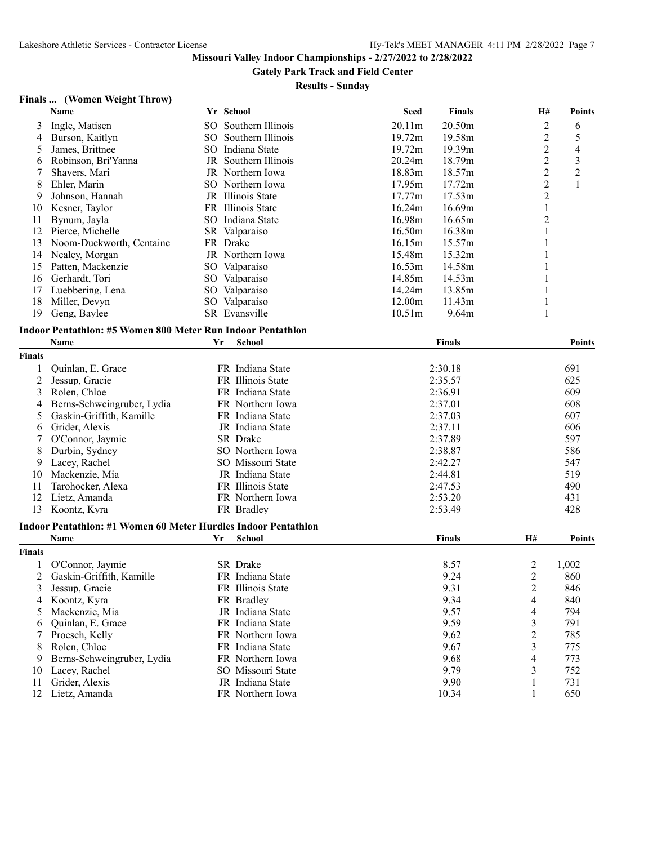**Gately Park Track and Field Center**

**Results - Sunday**

# **Finals ... (Women Weight Throw)**

|                | <b>Name</b>                                                    |    | Yr School            | <b>Seed</b>        | <b>Finals</b> | H#                       | <b>Points</b>  |
|----------------|----------------------------------------------------------------|----|----------------------|--------------------|---------------|--------------------------|----------------|
| 3              | Ingle, Matisen                                                 | SO | Southern Illinois    | 20.11m             | 20.50m        | $\overline{c}$           | 6              |
| 4              | Burson, Kaitlyn                                                |    | SO Southern Illinois | 19.72m             | 19.58m        | $\overline{2}$           | 5              |
| 5              | James, Brittnee                                                |    | SO Indiana State     | 19.72m             | 19.39m        | $\overline{2}$           | 4              |
| 6              | Robinson, Bri'Yanna                                            |    | JR Southern Illinois | 20.24m             | 18.79m        | $\overline{2}$           | $\mathfrak{Z}$ |
| 7              | Shavers, Mari                                                  |    | JR Northern Iowa     | 18.83m             | 18.57m        | $\overline{2}$           | $\overline{2}$ |
| 8              | Ehler, Marin                                                   |    | SO Northern Iowa     | 17.95m             | 17.72m        | $\overline{2}$           | $\mathbf{1}$   |
| 9              | Johnson, Hannah                                                |    | JR Illinois State    | 17.77m             | 17.53m        | $\overline{2}$           |                |
| 10             | Kesner, Taylor                                                 |    | FR Illinois State    | 16.24m             | 16.69m        | 1                        |                |
| 11             | Bynum, Jayla                                                   |    | SO Indiana State     | 16.98m             | 16.65m        | $\overline{2}$           |                |
| 12             | Pierce, Michelle                                               |    | SR Valparaiso        | 16.50m             | 16.38m        | 1                        |                |
| 13             | Noom-Duckworth, Centaine                                       |    | FR Drake             | 16.15m             | 15.57m        |                          |                |
| 14             | Nealey, Morgan                                                 |    | JR Northern Iowa     | 15.48m             | 15.32m        |                          |                |
| 15             | Patten, Mackenzie                                              |    | SO Valparaiso        | 16.53m             | 14.58m        |                          |                |
| 16             | Gerhardt, Tori                                                 |    | SO Valparaiso        | 14.85m             | 14.53m        |                          |                |
| 17             | Luebbering, Lena                                               |    | SO Valparaiso        | 14.24m             | 13.85m        | 1                        |                |
| 18             | Miller, Devyn                                                  |    | SO Valparaiso        | 12.00m             | 11.43m        | 1                        |                |
| 19             | Geng, Baylee                                                   |    | SR Evansville        | 10.51 <sub>m</sub> | 9.64m         | 1                        |                |
|                | Indoor Pentathlon: #5 Women 800 Meter Run Indoor Pentathlon    |    |                      |                    |               |                          |                |
|                | Name                                                           | Yr | School               |                    | <b>Finals</b> |                          | Points         |
| <b>Finals</b>  |                                                                |    |                      |                    |               |                          |                |
|                |                                                                |    |                      |                    |               |                          |                |
| 1              | Quinlan, E. Grace                                              |    | FR Indiana State     |                    | 2:30.18       |                          | 691            |
| $\overline{c}$ | Jessup, Gracie                                                 |    | FR Illinois State    |                    | 2:35.57       |                          | 625            |
| 3              | Rolen, Chloe                                                   |    | FR Indiana State     |                    | 2:36.91       |                          | 609            |
| 4              | Berns-Schweingruber, Lydia                                     |    | FR Northern Iowa     |                    | 2:37.01       |                          | 608            |
| 5              | Gaskin-Griffith, Kamille                                       |    | FR Indiana State     |                    | 2:37.03       |                          | 607            |
| 6              | Grider, Alexis                                                 |    | JR Indiana State     |                    | 2:37.11       |                          | 606            |
| 7              | O'Connor, Jaymie                                               |    | SR Drake             |                    | 2:37.89       |                          | 597            |
| 8              | Durbin, Sydney                                                 |    | SO Northern Iowa     |                    | 2:38.87       |                          | 586            |
| 9              | Lacey, Rachel                                                  |    | SO Missouri State    |                    | 2:42.27       |                          | 547            |
| 10             | Mackenzie, Mia                                                 |    | JR Indiana State     |                    | 2:44.81       |                          | 519            |
| 11             | Tarohocker, Alexa                                              |    | FR Illinois State    |                    | 2:47.53       |                          | 490            |
| 12             | Lietz, Amanda                                                  |    | FR Northern Iowa     |                    | 2:53.20       |                          | 431            |
| 13             | Koontz, Kyra                                                   |    | FR Bradley           |                    | 2:53.49       |                          | 428            |
|                | Indoor Pentathlon: #1 Women 60 Meter Hurdles Indoor Pentathlon |    |                      |                    |               |                          |                |
|                | Name                                                           | Yr | School               |                    | Finals        | H#                       | <b>Points</b>  |
| <b>Finals</b>  |                                                                |    |                      |                    |               |                          |                |
| 1              | O'Connor, Jaymie                                               |    | SR Drake             |                    | 8.57          | $\overline{\mathbf{c}}$  | 1,002          |
| 2              | Gaskin-Griffith, Kamille                                       |    | FR Indiana State     |                    | 9.24          | 2                        | 860            |
| 3              | Jessup, Gracie                                                 |    | FR Illinois State    |                    | 9.31          | $\overline{2}$           | 846            |
| 4              | Koontz, Kyra                                                   |    | FR Bradley           |                    | 9.34          | 4                        | 840            |
| 5              | Mackenzie, Mia                                                 |    | JR Indiana State     |                    | 9.57          | 4                        | 794            |
| 6              | Quinlan, E. Grace                                              |    | FR Indiana State     |                    | 9.59          | 3                        | 791            |
| 7              | Proesch, Kelly                                                 |    | FR Northern Iowa     |                    | 9.62          | $\overline{c}$           | 785            |
| 8              | Rolen, Chloe                                                   |    | FR Indiana State     |                    | 9.67          | 3                        | 775            |
| 9              | Berns-Schweingruber, Lydia                                     |    | FR Northern Iowa     |                    | 9.68          | $\overline{\mathcal{L}}$ | 773            |
| 10             | Lacey, Rachel                                                  |    | SO Missouri State    |                    | 9.79          | 3                        | 752            |
| 11             | Grider, Alexis                                                 |    | JR Indiana State     |                    | 9.90          | $\mathbf{1}$             | 731            |
|                | 12 Lietz, Amanda                                               |    | FR Northern Iowa     |                    | 10.34         | 1                        | 650            |
|                |                                                                |    |                      |                    |               |                          |                |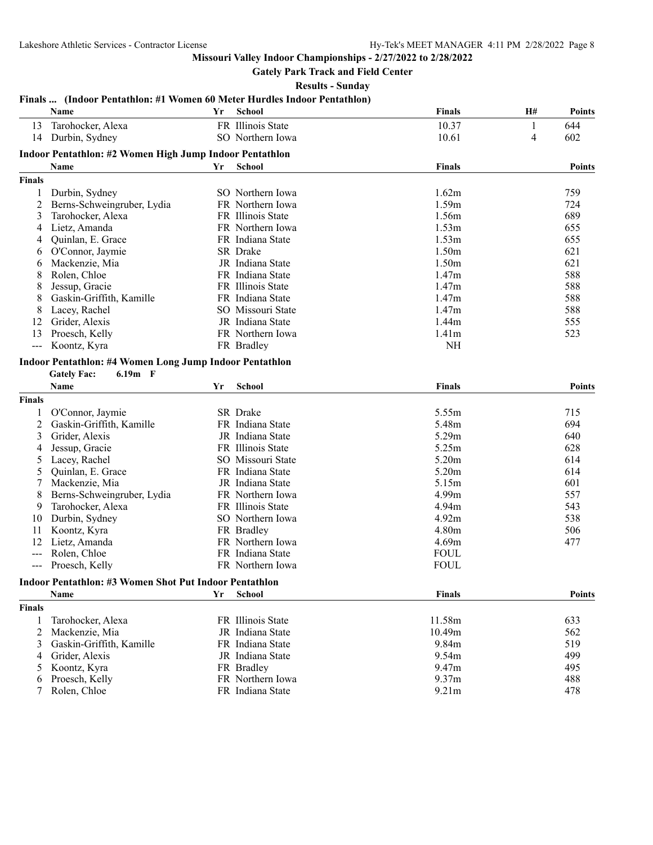# **Gately Park Track and Field Center**

**Results - Sunday**

#### **Finals ... (Indoor Pentathlon: #1 Women 60 Meter Hurdles Indoor Pentathlon)**

|                | Name                                                                                              | Yr | <b>School</b>     | <b>Finals</b> | <b>H#</b>      | <b>Points</b> |
|----------------|---------------------------------------------------------------------------------------------------|----|-------------------|---------------|----------------|---------------|
| 13             | Tarohocker, Alexa                                                                                 |    | FR Illinois State | 10.37         | 1              | 644           |
| 14             | Durbin, Sydney                                                                                    |    | SO Northern Iowa  | 10.61         | $\overline{4}$ | 602           |
|                | Indoor Pentathlon: #2 Women High Jump Indoor Pentathlon                                           |    |                   |               |                |               |
|                | Name                                                                                              | Yr | <b>School</b>     | <b>Finals</b> |                | <b>Points</b> |
| <b>Finals</b>  |                                                                                                   |    |                   |               |                |               |
| 1              | Durbin, Sydney                                                                                    |    | SO Northern Iowa  | 1.62m         |                | 759           |
| $\overline{c}$ | Berns-Schweingruber, Lydia                                                                        |    | FR Northern Iowa  | 1.59m         |                | 724           |
| 3              | Tarohocker, Alexa                                                                                 |    | FR Illinois State | 1.56m         |                | 689           |
| 4              | Lietz, Amanda                                                                                     |    | FR Northern Iowa  | 1.53m         |                | 655           |
| 4              | Quinlan, E. Grace                                                                                 |    | FR Indiana State  | 1.53m         |                | 655           |
| 6              | O'Connor, Jaymie                                                                                  |    | SR Drake          | 1.50m         |                | 621           |
| 6              | Mackenzie, Mia                                                                                    |    | JR Indiana State  | 1.50m         |                | 621           |
| 8              | Rolen, Chloe                                                                                      |    | FR Indiana State  | 1.47m         |                | 588           |
| 8              | Jessup, Gracie                                                                                    |    | FR Illinois State | 1.47m         |                | 588           |
| 8              | Gaskin-Griffith, Kamille                                                                          |    | FR Indiana State  | 1.47m         |                | 588           |
| 8              | Lacey, Rachel                                                                                     |    | SO Missouri State | 1.47m         |                | 588           |
| 12             | Grider, Alexis                                                                                    |    | JR Indiana State  | 1.44m         |                | 555           |
| 13             | Proesch, Kelly                                                                                    |    | FR Northern Iowa  | 1.41m         |                | 523           |
| $---$          | Koontz, Kyra                                                                                      |    | FR Bradley        | <b>NH</b>     |                |               |
|                | <b>Indoor Pentathlon: #4 Women Long Jump Indoor Pentathlon</b><br>$6.19m$ F<br><b>Gately Fac:</b> |    |                   |               |                |               |
|                | Name                                                                                              | Yr | School            | <b>Finals</b> |                | <b>Points</b> |
| <b>Finals</b>  |                                                                                                   |    |                   |               |                |               |
| 1              | O'Connor, Jaymie                                                                                  |    | SR Drake          | 5.55m         |                | 715           |
| $\overline{c}$ | Gaskin-Griffith, Kamille                                                                          |    | FR Indiana State  | 5.48m         |                | 694           |
| 3              | Grider, Alexis                                                                                    |    | JR Indiana State  | 5.29m         |                | 640           |
| 4              | Jessup, Gracie                                                                                    |    | FR Illinois State | 5.25m         |                | 628           |
| 5              | Lacey, Rachel                                                                                     |    | SO Missouri State | 5.20m         |                | 614           |
| 5              | Quinlan, E. Grace                                                                                 |    | FR Indiana State  | 5.20m         |                | 614           |
| 7              | Mackenzie, Mia                                                                                    |    | JR Indiana State  | 5.15m         |                | 601           |
| 8              | Berns-Schweingruber, Lydia                                                                        |    | FR Northern Iowa  | 4.99m         |                | 557           |
| 9              | Tarohocker, Alexa                                                                                 |    | FR Illinois State | 4.94m         |                | 543           |
| 10             | Durbin, Sydney                                                                                    |    | SO Northern Iowa  | 4.92m         |                | 538           |
| 11             | Koontz, Kyra                                                                                      |    | FR Bradley        | 4.80m         |                | 506           |
| 12             | Lietz, Amanda                                                                                     |    | FR Northern Iowa  | 4.69m         |                | 477           |
| $---$          | Rolen, Chloe                                                                                      |    | FR Indiana State  | <b>FOUL</b>   |                |               |
| $---$          | Proesch, Kelly                                                                                    |    | FR Northern Iowa  | <b>FOUL</b>   |                |               |
|                | <b>Indoor Pentathlon: #3 Women Shot Put Indoor Pentathlon</b>                                     |    |                   |               |                |               |
|                | <b>Name</b>                                                                                       | Yr | <b>School</b>     | <b>Finals</b> |                | <b>Points</b> |

| <b>Finals</b> |                            |                   |                    |     |
|---------------|----------------------------|-------------------|--------------------|-----|
|               | Tarohocker, Alexa          | FR Illinois State | 11.58m             | 633 |
|               | 2 Mackenzie, Mia           | JR Indiana State  | 10.49 <sub>m</sub> | 562 |
|               | 3 Gaskin-Griffith, Kamille | FR Indiana State  | 9.84m              | 519 |
|               | 4 Grider, Alexis           | JR Indiana State  | 9.54m              | 499 |
|               | 5 Koontz, Kyra             | FR Bradley        | 9.47m              | 495 |
|               | 6 Proesch, Kelly           | FR Northern Iowa  | 9.37 <sub>m</sub>  | 488 |
|               | 7 Rolen, Chloe             | FR Indiana State  | 9.21 <sub>m</sub>  | 478 |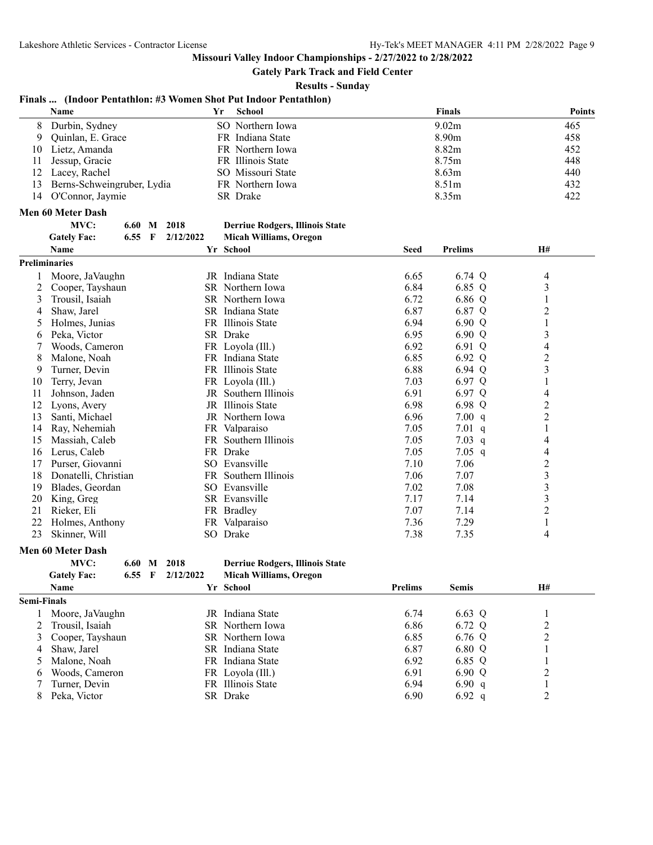**Gately Park Track and Field Center**

**Results - Sunday**

#### **Finals ... (Indoor Pentathlon: #3 Women Shot Put Indoor Pentathlon)**

|             | Name                       |        |              |             | Yr | <b>School</b>                          |                | <b>Finals</b>  | <b>Points</b>    |
|-------------|----------------------------|--------|--------------|-------------|----|----------------------------------------|----------------|----------------|------------------|
| 8           | Durbin, Sydney             |        |              |             |    | SO Northern Iowa                       |                | 9.02m          | 465              |
| 9           | Quinlan, E. Grace          |        |              |             |    | FR Indiana State                       |                | 8.90m          | 458              |
| 10          | Lietz, Amanda              |        |              |             |    | FR Northern Iowa                       |                | 8.82m          | 452              |
| 11          | Jessup, Gracie             |        |              |             |    | FR Illinois State                      |                | 8.75m          | 448              |
| 12          | Lacey, Rachel              |        |              |             |    | SO Missouri State                      |                | 8.63m          | 440              |
| 13          | Berns-Schweingruber, Lydia |        |              |             |    | FR Northern Iowa                       |                | 8.51m          | 432              |
| 14          | O'Connor, Jaymie           |        |              |             |    | SR Drake                               |                | 8.35m          | 422              |
|             | Men 60 Meter Dash          |        |              |             |    |                                        |                |                |                  |
|             | MVC:                       |        |              | 6.60 M 2018 |    | <b>Derriue Rodgers, Illinois State</b> |                |                |                  |
|             | <b>Gately Fac:</b>         | 6.55   | $\mathbf{F}$ | 2/12/2022   |    | <b>Micah Williams, Oregon</b>          |                |                |                  |
|             | Name                       |        |              |             |    | Yr School                              | Seed           | <b>Prelims</b> | H#               |
|             | <b>Preliminaries</b>       |        |              |             |    |                                        |                |                |                  |
| 1           | Moore, JaVaughn            |        |              |             |    | JR Indiana State                       | 6.65           | 6.74 Q         | 4                |
| 2           | Cooper, Tayshaun           |        |              |             |    | SR Northern Iowa                       | 6.84           | 6.85 Q         | 3                |
| 3           | Trousil, Isaiah            |        |              |             |    | SR Northern Iowa                       | 6.72           | 6.86 Q         | 1                |
| 4           | Shaw, Jarel                |        |              |             |    | SR Indiana State                       | 6.87           | 6.87 Q         | $\overline{c}$   |
| 5           | Holmes, Junias             |        |              |             |    | FR Illinois State                      | 6.94           | 6.90 Q         | $\mathbf{1}$     |
| 6           | Peka, Victor               |        |              |             |    | SR Drake                               | 6.95           | 6.90 Q         | 3                |
| 7           | Woods, Cameron             |        |              |             |    | FR Loyola (Ill.)                       | 6.92           | 6.91 Q         | 4                |
| 8           | Malone, Noah               |        |              |             |    | FR Indiana State                       | 6.85           | 6.92 Q         | $\overline{2}$   |
| 9           | Turner, Devin              |        |              |             |    | FR Illinois State                      | 6.88           | 6.94 Q         | 3                |
|             |                            |        |              |             |    |                                        | 7.03           | 6.97 Q         | 1                |
| 10          | Terry, Jevan               |        |              |             |    | FR Loyola (Ill.)                       |                |                |                  |
| 11          | Johnson, Jaden             |        |              |             |    | JR Southern Illinois                   | 6.91           | 6.97 Q         | 4                |
| 12          | Lyons, Avery               |        |              |             |    | JR Illinois State                      | 6.98           | 6.98 Q         | $\overline{2}$   |
| 13          | Santi, Michael             |        |              |             |    | JR Northern Iowa                       | 6.96           | 7.00 q         | $\overline{c}$   |
| 14          | Ray, Nehemiah              |        |              |             |    | FR Valparaiso                          | 7.05           | 7.01 q         | 1                |
| 15          | Massiah, Caleb             |        |              |             |    | FR Southern Illinois                   | 7.05           | 7.03 $q$       | 4                |
| 16          | Lerus, Caleb               |        |              |             |    | FR Drake                               | 7.05           | 7.05 $q$       | 4                |
| 17          | Purser, Giovanni           |        |              |             |    | SO Evansville                          | 7.10           | 7.06           | $\overline{2}$   |
| 18          | Donatelli, Christian       |        |              |             |    | FR Southern Illinois                   | 7.06           | 7.07           | 3                |
| 19          | Blades, Geordan            |        |              |             |    | SO Evansville                          | 7.02           | 7.08           | 3                |
| 20          | King, Greg                 |        |              |             |    | SR Evansville                          | 7.17           | 7.14           | 3                |
| 21          | Rieker, Eli                |        |              |             |    | FR Bradley                             | 7.07           | 7.14           | $\overline{c}$   |
| 22          | Holmes, Anthony            |        |              |             |    | FR Valparaiso                          | 7.36           | 7.29           | $\mathbf{1}$     |
| 23          | Skinner, Will              |        |              |             |    | SO Drake                               | 7.38           | 7.35           | 4                |
|             | <b>Men 60 Meter Dash</b>   |        |              |             |    |                                        |                |                |                  |
|             | MVC:                       | 6.60 M |              | 2018        |    | <b>Derriue Rodgers, Illinois State</b> |                |                |                  |
|             | <b>Gately Fac:</b>         | 6.55   | - F          | 2/12/2022   |    | <b>Micah Williams, Oregon</b>          |                |                |                  |
|             | Name                       |        |              |             |    | Yr School                              | <b>Prelims</b> | <b>Semis</b>   | H#               |
| Semi-Finals |                            |        |              |             |    |                                        |                |                |                  |
| 1           | Moore, JaVaughn            |        |              |             |    | JR Indiana State                       | 6.74           | 6.63 Q         | 1                |
| 2           | Trousil, Isaiah            |        |              |             |    | SR Northern Iowa                       | 6.86           | 6.72 Q         | $\overline{c}$   |
| 3           | Cooper, Tayshaun           |        |              |             |    | SR Northern Iowa                       | 6.85           | 6.76 Q         | $\overline{c}$   |
| 4           | Shaw, Jarel                |        |              |             |    | SR Indiana State                       | 6.87           | 6.80 Q         | $\mathbf{1}$     |
| 5           | Malone, Noah               |        |              |             |    | FR Indiana State                       | 6.92           | 6.85 Q         | $\mathbf{1}$     |
| 6           | Woods, Cameron             |        |              |             |    | FR Loyola (Ill.)                       | 6.91           | 6.90 Q         | $\boldsymbol{2}$ |
| 7           | Turner, Devin              |        |              |             |    | FR Illinois State                      | 6.94           | 6.90 $q$       | $\mathbf{1}$     |
| 8           | Peka, Victor               |        |              |             |    | SR Drake                               | 6.90           | 6.92 $q$       | $\overline{c}$   |
|             |                            |        |              |             |    |                                        |                |                |                  |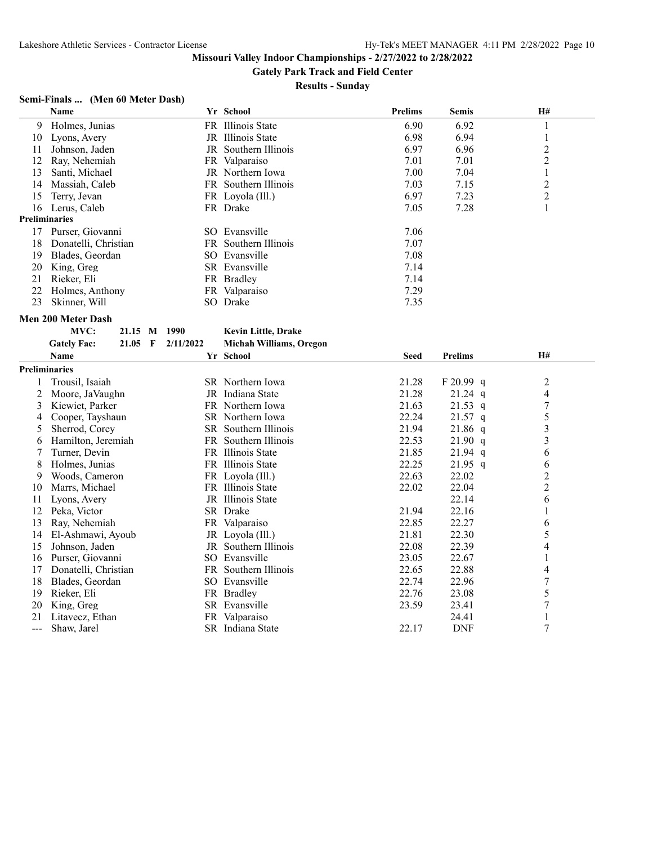**Gately Park Track and Field Center**

#### **Results - Sunday**

# **Semi-Finals ... (Men 60 Meter Dash)**

|                      | Name                      |         |              |           | Yr School                  | <b>Prelims</b> | Semis          | H#               |
|----------------------|---------------------------|---------|--------------|-----------|----------------------------|----------------|----------------|------------------|
| 9                    | Holmes, Junias            |         |              |           | FR Illinois State          | 6.90           | 6.92           | $\mathbf{1}$     |
| 10                   | Lyons, Avery              |         |              |           | JR Illinois State          | 6.98           | 6.94           | $\mathbf{1}$     |
| 11                   | Johnson, Jaden            |         |              |           | JR Southern Illinois       | 6.97           | 6.96           | $\overline{c}$   |
| 12                   | Ray, Nehemiah             |         |              |           | FR Valparaiso              | 7.01           | 7.01           | $\overline{c}$   |
| 13                   | Santi, Michael            |         |              |           | JR Northern Iowa           | 7.00           | 7.04           | $\mathbf{1}$     |
| 14                   | Massiah, Caleb            |         |              |           | FR Southern Illinois       | 7.03           | 7.15           | $\overline{c}$   |
| 15                   | Terry, Jevan              |         |              |           | FR Loyola (Ill.)           | 6.97           | 7.23           | $\sqrt{2}$       |
| 16                   | Lerus, Caleb              |         |              |           | FR Drake                   | 7.05           | 7.28           | $\mathbf{1}$     |
| <b>Preliminaries</b> |                           |         |              |           |                            |                |                |                  |
| 17                   | Purser, Giovanni          |         |              |           | SO Evansville              | 7.06           |                |                  |
| 18                   | Donatelli, Christian      |         |              |           | FR Southern Illinois       | 7.07           |                |                  |
| 19                   | Blades, Geordan           |         |              |           | SO Evansville              | 7.08           |                |                  |
| 20                   | King, Greg                |         |              |           | SR Evansville              | 7.14           |                |                  |
| 21                   | Rieker, Eli               |         |              |           | FR Bradley                 | 7.14           |                |                  |
| 22                   | Holmes, Anthony           |         |              |           | FR Valparaiso              | 7.29           |                |                  |
| 23                   | Skinner, Will             |         |              |           | SO Drake                   | 7.35           |                |                  |
|                      | <b>Men 200 Meter Dash</b> |         |              |           |                            |                |                |                  |
|                      | MVC:                      | 21.15 M |              | 1990      | <b>Kevin Little, Drake</b> |                |                |                  |
|                      | <b>Gately Fac:</b>        | 21.05   | $\mathbf{F}$ | 2/11/2022 | Michah Williams, Oregon    |                |                |                  |
|                      | <b>Name</b>               |         |              |           | Yr School                  | <b>Seed</b>    | <b>Prelims</b> | H#               |
| <b>Preliminaries</b> |                           |         |              |           |                            |                |                |                  |
| 1                    | Trousil, Isaiah           |         |              |           | SR Northern Iowa           | 21.28          | F 20.99 q      | $\overline{c}$   |
| 2                    | Moore, JaVaughn           |         |              |           | JR Indiana State           | 21.28          | $21.24$ q      | 4                |
| 3                    | Kiewiet, Parker           |         |              |           | FR Northern Iowa           | 21.63          | $21.53$ q      | 7                |
| 4                    | Cooper, Tayshaun          |         |              |           | SR Northern Iowa           | 22.24          | $21.57$ q      | 5                |
| 5                    | Sherrod, Corey            |         |              |           | SR Southern Illinois       | 21.94          | $21.86$ q      | 3                |
| 6                    | Hamilton, Jeremiah        |         |              |           | FR Southern Illinois       | 22.53          | 21.90 q        | 3                |
| 7                    | Turner, Devin             |         |              |           | FR Illinois State          | 21.85          | 21.94 q        | 6                |
| 8                    | Holmes, Junias            |         |              |           | FR Illinois State          | 22.25          | $21.95$ q      | 6                |
| 9                    | Woods, Cameron            |         |              |           | FR Loyola (Ill.)           | 22.63          | 22.02          | $\overline{2}$   |
| 10                   | Marrs, Michael            |         |              |           | FR Illinois State          | 22.02          | 22.04          | $\overline{2}$   |
| 11                   | Lyons, Avery              |         |              |           | JR Illinois State          |                | 22.14          | 6                |
| 12                   | Peka, Victor              |         |              |           | SR Drake                   | 21.94          | 22.16          | 1                |
| 13                   | Ray, Nehemiah             |         |              |           | FR Valparaiso              | 22.85          | 22.27          | 6                |
| 14                   | El-Ashmawi, Ayoub         |         |              |           | JR Loyola (Ill.)           | 21.81          | 22.30          | 5                |
| 15                   | Johnson, Jaden            |         |              |           | JR Southern Illinois       | 22.08          | 22.39          | 4                |
| 16                   | Purser, Giovanni          |         |              |           | SO Evansville              | 23.05          | 22.67          | $\mathbf{1}$     |
| 17                   | Donatelli, Christian      |         |              |           | FR Southern Illinois       | 22.65          | 22.88          | 4                |
| 18                   | Blades, Geordan           |         |              |           | SO Evansville              | 22.74          | 22.96          | $\boldsymbol{7}$ |
| 19                   | Rieker, Eli               |         |              |           | FR Bradley                 | 22.76          | 23.08          | 5                |
| 20                   | King, Greg                |         |              |           | SR Evansville              | 23.59          | 23.41          | $\overline{7}$   |
| 21                   | Litavecz, Ethan           |         |              |           | FR Valparaiso              |                | 24.41          | 1                |
|                      | Shaw, Jarel               |         |              |           | SR Indiana State           | 22.17          | <b>DNF</b>     | 7                |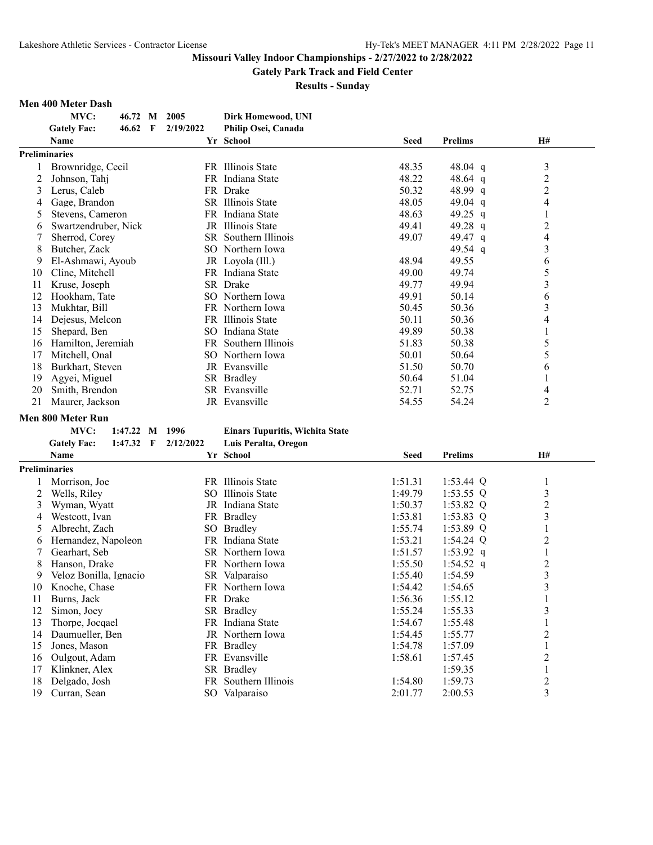**Gately Park Track and Field Center**

**Results - Sunday**

#### **Men 400 Meter Dash**

|    | MVC:                     | 46.72 M        |   | 2005      | Dirk Homewood, UNI                     |         |                |                          |
|----|--------------------------|----------------|---|-----------|----------------------------------------|---------|----------------|--------------------------|
|    | <b>Gately Fac:</b>       | 46.62          | F | 2/19/2022 | Philip Osei, Canada                    |         |                |                          |
|    | Name                     |                |   |           | Yr School                              | Seed    | <b>Prelims</b> | H#                       |
|    | <b>Preliminaries</b>     |                |   |           |                                        |         |                |                          |
|    | Brownridge, Cecil        |                |   |           | FR Illinois State                      | 48.35   | 48.04 q        | $\mathfrak{Z}$           |
| 2  | Johnson, Tahj            |                |   |           | FR Indiana State                       | 48.22   | 48.64 $q$      | $\overline{c}$           |
| 3  | Lerus, Caleb             |                |   |           | FR Drake                               | 50.32   | 48.99 q        | $\overline{c}$           |
| 4  | Gage, Brandon            |                |   |           | SR Illinois State                      | 48.05   | 49.04 q        | $\overline{\mathcal{L}}$ |
| 5  | Stevens, Cameron         |                |   |           | FR Indiana State                       | 48.63   | 49.25 q        | $\mathbf{1}$             |
| 6  | Swartzendruber, Nick     |                |   |           | JR Illinois State                      | 49.41   | 49.28 q        | $\overline{c}$           |
| 7  | Sherrod, Corey           |                |   |           | SR Southern Illinois                   | 49.07   | 49.47 q        | $\overline{4}$           |
| 8  | Butcher, Zack            |                |   |           | SO Northern Iowa                       |         | 49.54 $q$      | 3                        |
| 9  | El-Ashmawi, Ayoub        |                |   |           | JR Loyola (Ill.)                       | 48.94   | 49.55          | 6                        |
| 10 | Cline, Mitchell          |                |   |           | FR Indiana State                       | 49.00   | 49.74          | 5                        |
| 11 | Kruse, Joseph            |                |   |           | SR Drake                               | 49.77   | 49.94          | 3                        |
| 12 | Hookham, Tate            |                |   |           | SO Northern Iowa                       | 49.91   | 50.14          | 6                        |
| 13 | Mukhtar, Bill            |                |   |           | FR Northern Iowa                       | 50.45   | 50.36          | 3                        |
| 14 | Dejesus, Melcon          |                |   |           | FR Illinois State                      | 50.11   | 50.36          | 4                        |
| 15 | Shepard, Ben             |                |   |           | SO Indiana State                       | 49.89   | 50.38          | 1                        |
| 16 | Hamilton, Jeremiah       |                |   | FR        | Southern Illinois                      | 51.83   | 50.38          | 5                        |
| 17 | Mitchell, Onal           |                |   |           | SO Northern Iowa                       | 50.01   | 50.64          | 5                        |
| 18 | Burkhart, Steven         |                |   |           | JR Evansville                          | 51.50   | 50.70          | 6                        |
| 19 | Agyei, Miguel            |                |   |           | SR Bradley                             | 50.64   | 51.04          | 1                        |
| 20 | Smith, Brendon           |                |   |           | SR Evansville                          | 52.71   | 52.75          | 4                        |
| 21 | Maurer, Jackson          |                |   |           | JR Evansville                          | 54.55   | 54.24          | $\overline{2}$           |
|    | <b>Men 800 Meter Run</b> |                |   |           |                                        |         |                |                          |
|    | MVC:                     | 1:47.22 M 1996 |   |           | <b>Einars Tupuritis, Wichita State</b> |         |                |                          |
|    | <b>Gately Fac:</b>       | $1:47.32$ F    |   | 2/12/2022 | Luis Peralta, Oregon                   |         |                |                          |
|    | <b>Name</b>              |                |   |           | Yr School                              | Seed    | <b>Prelims</b> | H#                       |
|    |                          |                |   |           |                                        |         |                |                          |
|    | <b>Preliminaries</b>     |                |   |           |                                        |         |                |                          |
|    | Morrison, Joe            |                |   |           | FR Illinois State                      | 1:51.31 | 1:53.44 $Q$    | 1                        |
| 2  | Wells, Riley             |                |   |           | SO Illinois State                      | 1:49.79 | $1:53.55$ Q    | 3                        |
| 3  | Wyman, Wyatt             |                |   |           | JR Indiana State                       | 1:50.37 | 1:53.82 $Q$    | $\overline{c}$           |
| 4  | Westcott, Ivan           |                |   |           | FR Bradley                             | 1:53.81 | $1:53.83$ Q    | $\overline{\mathbf{3}}$  |
| 5  | Albrecht, Zach           |                |   |           | SO Bradley                             | 1:55.74 | $1:53.89$ Q    | $\mathbf{1}$             |
| 6  | Hernandez, Napoleon      |                |   |           | FR Indiana State                       | 1:53.21 | $1:54.24$ Q    | $\overline{2}$           |
| 7  | Gearhart, Seb            |                |   |           | SR Northern Iowa                       | 1:51.57 | 1:53.92 $q$    | $\mathbf{1}$             |
| 8  | Hanson, Drake            |                |   |           | FR Northern Iowa                       | 1:55.50 | 1:54.52 q      | $\overline{\mathbf{c}}$  |
| 9  | Veloz Bonilla, Ignacio   |                |   |           | SR Valparaiso                          | 1:55.40 | 1:54.59        | $\overline{\mathbf{3}}$  |
| 10 | Knoche, Chase            |                |   |           | FR Northern Iowa                       | 1:54.42 | 1:54.65        | $\overline{\mathbf{3}}$  |
| 11 | Burns, Jack              |                |   |           | FR Drake                               | 1:56.36 | 1:55.12        | $\mathbf{1}$             |
| 12 | Simon, Joey              |                |   |           | SR Bradley                             | 1:55.24 | 1:55.33        | 3                        |
| 13 | Thorpe, Jocqael          |                |   |           | FR Indiana State                       | 1:54.67 | 1:55.48        | $\mathbf{1}$             |
| 14 | Daumueller, Ben          |                |   |           | JR Northern Iowa                       | 1:54.45 | 1:55.77        | $\overline{c}$           |
| 15 | Jones, Mason             |                |   |           | FR Bradley                             | 1:54.78 | 1:57.09        | $\mathbf{1}$             |
| 16 | Oulgout, Adam            |                |   |           | FR Evansville                          | 1:58.61 | 1:57.45        | $\boldsymbol{2}$         |
| 17 | Klinkner, Alex           |                |   |           | SR Bradley                             |         | 1:59.35        | $\mathbf{1}$             |
| 18 | Delgado, Josh            |                |   |           | FR Southern Illinois                   | 1:54.80 | 1:59.73        | $\overline{c}$           |
| 19 | Curran, Sean             |                |   |           | SO Valparaiso                          | 2:01.77 | 2:00.53        | 3                        |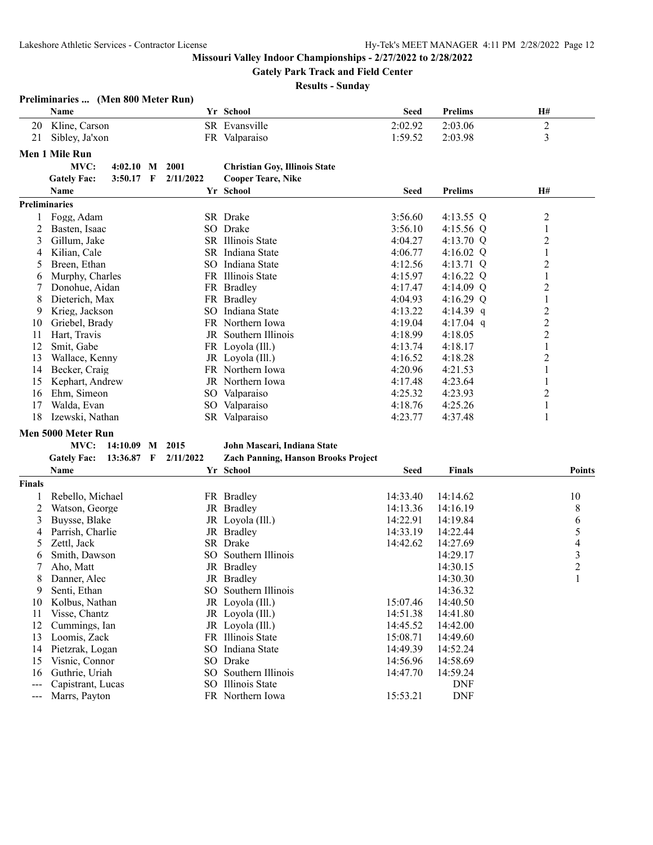**Preliminaries ... (Men 800 Meter Run)**

# **Missouri Valley Indoor Championships - 2/27/2022 to 2/28/2022**

**Gately Park Track and Field Center**

|                   | Name                 |                 |   |           | Yr School                                  | <b>Seed</b> | <b>Prelims</b>     | H#                       |
|-------------------|----------------------|-----------------|---|-----------|--------------------------------------------|-------------|--------------------|--------------------------|
| 20                | Kline, Carson        |                 |   |           | SR Evansville                              | 2:02.92     | 2:03.06            | $\boldsymbol{2}$         |
| 21                | Sibley, Ja'xon       |                 |   |           | FR Valparaiso                              | 1:59.52     | 2:03.98            | 3                        |
|                   |                      |                 |   |           |                                            |             |                    |                          |
|                   | Men 1 Mile Run       |                 |   |           |                                            |             |                    |                          |
|                   | MVC:                 | 4:02.10         | M | 2001      | <b>Christian Goy, Illinois State</b>       |             |                    |                          |
|                   | <b>Gately Fac:</b>   | 3:50.17 F       |   | 2/11/2022 | <b>Cooper Teare, Nike</b>                  |             |                    |                          |
|                   | Name                 |                 |   |           | Yr School                                  | <b>Seed</b> | <b>Prelims</b>     | H#                       |
|                   | <b>Preliminaries</b> |                 |   |           |                                            |             |                    |                          |
| 1                 | Fogg, Adam           |                 |   |           | SR Drake                                   | 3:56.60     | 4:13.55 Q          | $\overline{c}$           |
| 2                 | Basten, Isaac        |                 |   |           | SO Drake                                   | 3:56.10     | 4:15.56 Q          | $\mathbf{1}$             |
| 3                 | Gillum, Jake         |                 |   |           | SR Illinois State                          | 4:04.27     | 4:13.70 Q          | $\overline{\mathbf{c}}$  |
| 4                 | Kilian, Cale         |                 |   |           | SR Indiana State                           | 4:06.77     | 4:16.02 $Q$        | 1                        |
| 5                 | Breen, Ethan         |                 |   |           | SO Indiana State                           | 4:12.56     | 4:13.71 Q          | 2                        |
| 6                 | Murphy, Charles      |                 |   |           | FR Illinois State                          | 4:15.97     | 4:16.22 Q          | 1                        |
| 7                 | Donohue, Aidan       |                 |   |           | FR Bradley                                 | 4:17.47     | 4:14.09 Q          | $\overline{c}$           |
| 8                 | Dieterich, Max       |                 |   |           | FR Bradley                                 | 4:04.93     | 4:16.29 Q          | $\mathbf{1}$             |
| 9                 | Krieg, Jackson       |                 |   |           | SO Indiana State                           | 4:13.22     | 4:14.39 q          | $\overline{c}$           |
| 10                | Griebel, Brady       |                 |   |           | FR Northern Iowa                           | 4:19.04     | 4:17.04 $q$        | $\overline{c}$           |
| 11                | Hart, Travis         |                 |   |           | JR Southern Illinois                       | 4:18.99     | 4:18.05            | $\overline{2}$           |
| 12                | Smit, Gabe           |                 |   |           | FR Loyola (Ill.)                           | 4:13.74     | 4:18.17            | 1                        |
| 13                | Wallace, Kenny       |                 |   |           | JR Loyola (Ill.)                           | 4:16.52     | 4:18.28            | $\overline{c}$           |
| 14                | Becker, Craig        |                 |   |           | FR Northern Iowa                           | 4:20.96     | 4:21.53            | 1                        |
| 15                | Kephart, Andrew      |                 |   |           | JR Northern Iowa                           | 4:17.48     | 4:23.64            | 1                        |
|                   | Ehm, Simeon          |                 |   |           |                                            | 4:25.32     |                    |                          |
| 16                |                      |                 |   |           | SO Valparaiso                              | 4:18.76     | 4:23.93<br>4:25.26 | 2                        |
| 17<br>18          | Walda, Evan          |                 |   |           | SO Valparaiso                              |             |                    | 1                        |
|                   | Izewski, Nathan      |                 |   |           | SR Valparaiso                              | 4:23.77     | 4:37.48            | 1                        |
|                   | Men 5000 Meter Run   |                 |   |           |                                            |             |                    |                          |
|                   | MVC:                 | 14:10.09 M 2015 |   |           | John Mascari, Indiana State                |             |                    |                          |
|                   | <b>Gately Fac:</b>   | 13:36.87        | F | 2/11/2022 | <b>Zach Panning, Hanson Brooks Project</b> |             |                    |                          |
|                   | Name                 |                 |   |           | Yr School                                  | <b>Seed</b> | <b>Finals</b>      | <b>Points</b>            |
| <b>Finals</b>     |                      |                 |   |           |                                            |             |                    |                          |
| 1                 | Rebello, Michael     |                 |   |           | FR Bradley                                 | 14:33.40    | 14:14.62           | 10                       |
| 2                 | Watson, George       |                 |   |           | JR Bradley                                 | 14:13.36    | 14:16.19           | 8                        |
| 3                 | Buysse, Blake        |                 |   |           | JR Loyola (Ill.)                           | 14:22.91    | 14:19.84           | 6                        |
| 4                 | Parrish, Charlie     |                 |   |           | JR Bradley                                 | 14:33.19    | 14:22.44           | 5                        |
| 5                 | Zettl, Jack          |                 |   |           | SR Drake                                   | 14:42.62    | 14:27.69           | $\overline{\mathcal{A}}$ |
| 6                 | Smith, Dawson        |                 |   |           | SO Southern Illinois                       |             | 14:29.17           | 3                        |
| 7                 | Aho, Matt            |                 |   |           | JR Bradley                                 |             | 14:30.15           | $\overline{c}$           |
| 8                 | Danner, Alec         |                 |   |           | JR Bradley                                 |             | 14:30.30           | $\mathbf{1}$             |
| 9                 | Senti, Ethan         |                 |   |           | SO Southern Illinois                       |             | 14:36.32           |                          |
| 10                | Kolbus, Nathan       |                 |   |           |                                            | 15:07.46    | 14:40.50           |                          |
| 11                | Visse, Chantz        |                 |   |           | JR Loyola (Ill.)<br>JR Loyola (Ill.)       | 14:51.38    | 14:41.80           |                          |
| 12                | Cummings, Ian        |                 |   |           | JR Loyola (Ill.)                           | 14:45.52    | 14:42.00           |                          |
|                   |                      |                 |   |           |                                            | 15:08.71    |                    |                          |
| 13                | Loomis, Zack         |                 |   |           | FR Illinois State                          |             | 14:49.60           |                          |
| 14                | Pietzrak, Logan      |                 |   |           | SO Indiana State                           | 14:49.39    | 14:52.24           |                          |
| 15                | Visnic, Connor       |                 |   |           | SO Drake                                   | 14:56.96    | 14:58.69           |                          |
| 16                | Guthrie, Uriah       |                 |   |           | SO Southern Illinois                       | 14:47.70    | 14:59.24           |                          |
| $--$              | Capistrant, Lucas    |                 |   |           | SO Illinois State                          |             | <b>DNF</b>         |                          |
| $\qquad \qquad -$ | Marrs, Payton        |                 |   |           | FR Northern Iowa                           | 15:53.21    | <b>DNF</b>         |                          |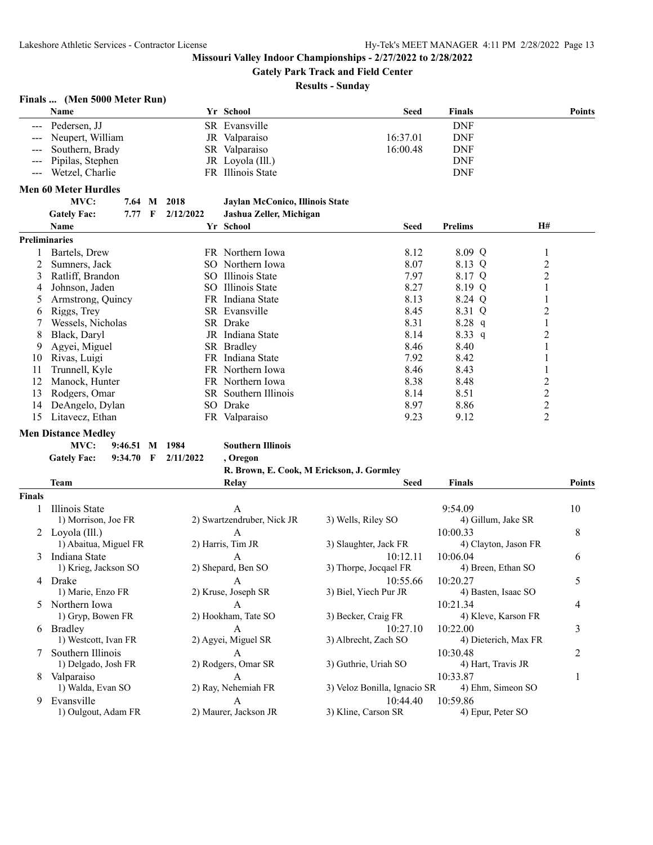**Gately Park Track and Field Center**

**Results - Sunday**

# **Finals ... (Men 5000 Meter Run)**

| Name                 | Yr School         | Seed     | <b>Finals</b> | <b>Points</b> |
|----------------------|-------------------|----------|---------------|---------------|
| --- Pedersen, JJ     | SR Evansville     |          | <b>DNF</b>    |               |
| --- Neupert, William | JR Valparaiso     | 16:37.01 | <b>DNF</b>    |               |
| --- Southern, Brady  | SR Valparaiso     | 16:00.48 | <b>DNF</b>    |               |
| --- Pipilas, Stephen | JR Lovola (Ill.)  |          | <b>DNF</b>    |               |
| --- Wetzel, Charlie  | FR Illinois State |          | <b>DNF</b>    |               |

#### **Men 60 Meter Hurdles**

#### **MVC: 7.64 M 2018 Jaylan McConico, Illinois State**

| <b>Gately Fac:</b> |  | 7.77 F 2/12/2022 | Jashua Zeller, Michigan |
|--------------------|--|------------------|-------------------------|
|                    |  |                  |                         |

|                      | <b>Name</b>       |     | Yr School                   | <b>Seed</b> | <b>Prelims</b> | H#             |
|----------------------|-------------------|-----|-----------------------------|-------------|----------------|----------------|
| <b>Preliminaries</b> |                   |     |                             |             |                |                |
|                      | Bartels, Drew     |     | FR Northern Iowa            | 8.12        | $8.09$ Q       |                |
|                      | Sumners, Jack     |     | SO Northern Iowa            | 8.07        | 8.13 Q         | 2              |
|                      | Ratliff, Brandon  |     | SO Illinois State           | 7.97        | 8.17 Q         | $\overline{2}$ |
| 4                    | Johnson, Jaden    |     | SO Illinois State           | 8.27        | 8.19 Q         |                |
|                      | Armstrong, Quincy |     | FR Indiana State            | 8.13        | 8.24 Q         |                |
| 6.                   | Riggs, Trey       |     | SR Evansville               | 8.45        | 8.31 Q         | $\overline{2}$ |
|                      | Wessels, Nicholas |     | SR Drake                    | 8.31        | $8.28$ q       |                |
| 8                    | Black, Darvl      |     | JR Indiana State            | 8.14        | $8.33\ q$      | 2              |
| 9.                   | Agyei, Miguel     |     | SR Bradley                  | 8.46        | 8.40           |                |
| 10                   | Rivas, Luigi      |     | FR Indiana State            | 7.92        | 8.42           |                |
| 11                   | Trunnell, Kyle    |     | FR Northern Iowa            | 8.46        | 8.43           |                |
|                      | Manock, Hunter    |     | FR Northern Iowa            | 8.38        | 8.48           | 2              |
| 13                   | Rodgers, Omar     |     | <b>SR</b> Southern Illinois | 8.14        | 8.51           | 2              |
| 14                   | DeAngelo, Dylan   | SO. | Drake                       | 8.97        | 8.86           | $\overline{2}$ |
| 15                   | Litavecz, Ethan   |     | FR Valparaiso               | 9.23        | 9.12           | 2              |

#### **Men Distance Medley**

**MVC: 9:46.51 M 1984 Southern Illinois**

**Gately Fac: 9:34.70 F 2/11/2022 , Oregon**

```
R. Brown, E. Cook, M Erickson, J. Gormley
```

|        | <b>Team</b>           | Relay                      | <b>Seed</b>                  | <b>Finals</b>        | <b>Points</b> |
|--------|-----------------------|----------------------------|------------------------------|----------------------|---------------|
| Finals |                       |                            |                              |                      |               |
|        | Illinois State        | A                          |                              | 9:54.09              | 10            |
|        | 1) Morrison, Joe FR   | 2) Swartzendruber, Nick JR | 3) Wells, Riley SO           | 4) Gillum, Jake SR   |               |
| 2      | Loyola (Ill.)         | A                          |                              | 10:00.33             | 8             |
|        | 1) Abaitua, Miguel FR | 2) Harris, Tim JR          | 3) Slaughter, Jack FR        | 4) Clayton, Jason FR |               |
| 3      | Indiana State         | A                          | 10:12.11                     | 10:06.04             | 6             |
|        | 1) Krieg, Jackson SO  | 2) Shepard, Ben SO         | 3) Thorpe, Jocqael FR        | 4) Breen, Ethan SO   |               |
| 4      | Drake                 | A                          | 10:55.66                     | 10:20.27             | 5             |
|        | 1) Marie, Enzo FR     | 2) Kruse, Joseph SR        | 3) Biel, Yiech Pur JR        | 4) Basten, Isaac SO  |               |
| 5      | Northern Iowa         | A                          |                              | 10:21.34             | 4             |
|        | 1) Gryp, Bowen FR     | 2) Hookham, Tate SO        | 3) Becker, Craig FR          | 4) Kleve, Karson FR  |               |
| 6      | <b>Bradley</b>        | A                          | 10:27.10                     | 10:22.00             | 3             |
|        | 1) Westcott, Ivan FR  | 2) Agyei, Miguel SR        | 3) Albrecht, Zach SO         | 4) Dieterich, Max FR |               |
|        | Southern Illinois     | A                          |                              | 10:30.48             | 2             |
|        | 1) Delgado, Josh FR   | 2) Rodgers, Omar SR        | 3) Guthrie, Uriah SO         | 4) Hart, Travis JR   |               |
| 8      | Valparaiso            | A                          |                              | 10:33.87             |               |
|        | 1) Walda, Evan SO     | 2) Ray, Nehemiah FR        | 3) Veloz Bonilla, Ignacio SR | 4) Ehm, Simeon SO    |               |
| 9      | Evansville            | A                          | 10:44.40                     | 10:59.86             |               |
|        | 1) Oulgout, Adam FR   | 2) Maurer, Jackson JR      | 3) Kline, Carson SR          | 4) Epur, Peter SO    |               |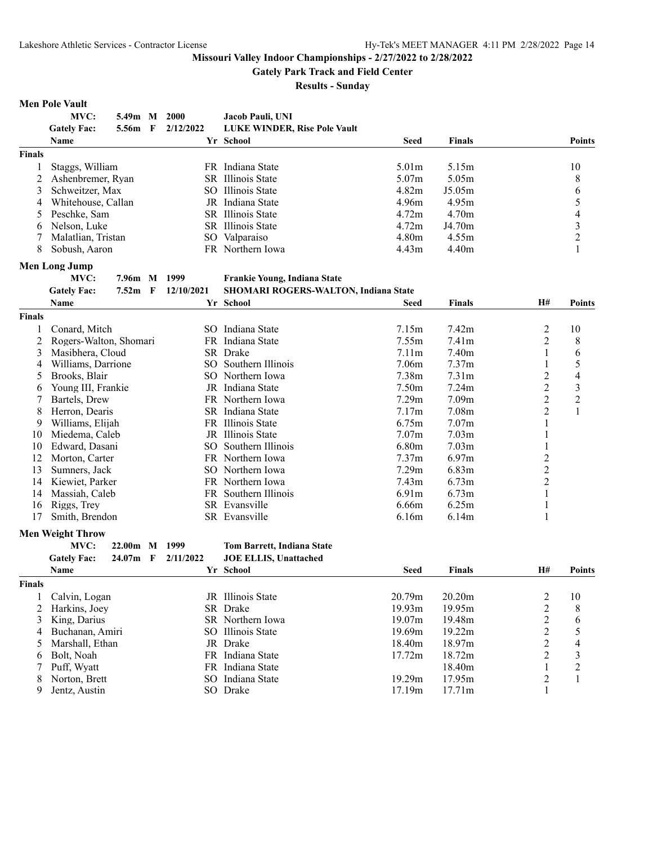**Gately Park Track and Field Center**

**Results - Sunday**

# **Men Pole Vault**

|                | <b>IVICH 1 UIC VAUIL</b> |                   |     |                 |                                             |                   |                   |                |                          |
|----------------|--------------------------|-------------------|-----|-----------------|---------------------------------------------|-------------------|-------------------|----------------|--------------------------|
|                | MVC:                     | 5.49m M           |     | 2000            | Jacob Pauli, UNI                            |                   |                   |                |                          |
|                | <b>Gately Fac:</b>       | 5.56m             | F   | 2/12/2022       | <b>LUKE WINDER, Rise Pole Vault</b>         |                   |                   |                |                          |
|                | Name                     |                   |     |                 | Yr School                                   | Seed              | Finals            |                | <b>Points</b>            |
| <b>Finals</b>  |                          |                   |     |                 |                                             |                   |                   |                |                          |
| 1              | Staggs, William          |                   |     |                 | FR Indiana State                            | 5.01 <sub>m</sub> | 5.15m             |                | 10                       |
| $\overline{2}$ | Ashenbremer, Ryan        |                   |     |                 | SR Illinois State                           | 5.07m             | 5.05m             |                | 8                        |
| 3              | Schweitzer, Max          |                   |     |                 | SO Illinois State                           | 4.82m             | J5.05m            |                | 6                        |
| 4              | Whitehouse, Callan       |                   |     |                 | JR Indiana State                            | 4.96m             | 4.95m             |                | 5                        |
| 5              | Peschke, Sam             |                   |     |                 | SR Illinois State                           | 4.72m             | 4.70m             |                | $\overline{\mathcal{L}}$ |
| 6              | Nelson, Luke             |                   |     |                 | SR Illinois State                           | 4.72m             | J4.70m            |                | $\mathfrak{Z}$           |
| 7              | Malatlian, Tristan       |                   |     |                 | SO Valparaiso                               | 4.80m             | 4.55m             |                | $\overline{c}$           |
| 8              | Sobush, Aaron            |                   |     |                 | FR Northern Iowa                            | 4.43m             | 4.40m             |                | 1                        |
|                | <b>Men Long Jump</b>     |                   |     |                 |                                             |                   |                   |                |                          |
|                | MVC:                     | 7.96m M           |     | 1999            | Frankie Young, Indiana State                |                   |                   |                |                          |
|                | <b>Gately Fac:</b>       | 7.52 <sub>m</sub> | - F | 12/10/2021      | <b>SHOMARI ROGERS-WALTON, Indiana State</b> |                   |                   |                |                          |
|                | Name                     |                   |     |                 | Yr School                                   | Seed              | Finals            | <b>H#</b>      | <b>Points</b>            |
| <b>Finals</b>  |                          |                   |     |                 |                                             |                   |                   |                |                          |
| 1              | Conard, Mitch            |                   |     |                 | SO Indiana State                            | 7.15m             | 7.42m             |                | 10                       |
|                |                          |                   |     |                 |                                             |                   |                   | $\overline{c}$ |                          |
| 2              | Rogers-Walton, Shomari   |                   |     |                 | FR Indiana State                            | 7.55m             | 7.41m             | $\overline{2}$ | 8                        |
| 3              | Masibhera, Cloud         |                   |     |                 | SR Drake                                    | 7.11m             | 7.40m             | 1              | 6                        |
| 4              | Williams, Darrione       |                   |     |                 | SO Southern Illinois                        | 7.06m             | 7.37 <sub>m</sub> | 1              | 5                        |
| 5              | Brooks, Blair            |                   |     |                 | SO Northern Iowa                            | 7.38m             | 7.31 <sub>m</sub> | $\overline{2}$ | $\overline{4}$           |
| 6              | Young III, Frankie       |                   |     |                 | JR Indiana State                            | 7.50 <sub>m</sub> | 7.24 <sub>m</sub> | $\overline{c}$ | $\mathfrak{Z}$           |
| 7              | Bartels, Drew            |                   |     |                 | FR Northern Iowa                            | 7.29m             | 7.09 <sub>m</sub> | $\overline{c}$ | $\overline{2}$           |
| 8              | Herron, Dearis           |                   |     |                 | SR Indiana State                            | 7.17m             | 7.08m             | $\overline{2}$ | $\mathbf{1}$             |
| 9              | Williams, Elijah         |                   |     |                 | FR Illinois State                           | 6.75m             | 7.07 <sub>m</sub> | 1              |                          |
| 10             | Miedema, Caleb           |                   |     |                 | JR Illinois State                           | 7.07 <sub>m</sub> | 7.03 <sub>m</sub> | 1              |                          |
| 10             | Edward, Dasani           |                   |     | SO <sub>1</sub> | Southern Illinois                           | 6.80m             | 7.03 <sub>m</sub> | 1              |                          |
| 12             | Morton, Carter           |                   |     |                 | FR Northern Iowa                            | 7.37m             | 6.97m             | $\overline{c}$ |                          |
| 13             | Sumners, Jack            |                   |     |                 | SO Northern Iowa                            | 7.29m             | 6.83m             | $\overline{c}$ |                          |
| 14             | Kiewiet, Parker          |                   |     |                 | FR Northern Iowa                            | 7.43m             | 6.73m             | $\overline{2}$ |                          |
| 14             | Massiah, Caleb           |                   |     |                 | FR Southern Illinois                        | 6.91 <sub>m</sub> | 6.73m             | 1              |                          |
| 16             | Riggs, Trey              |                   |     |                 | SR Evansville                               | 6.66m             | 6.25m             | 1              |                          |
| 17             | Smith, Brendon           |                   |     |                 | SR Evansville                               | 6.16m             | 6.14m             | 1              |                          |
|                | <b>Men Weight Throw</b>  |                   |     |                 |                                             |                   |                   |                |                          |
|                | MVC:                     | 22.00m            | M   | 1999            | Tom Barrett, Indiana State                  |                   |                   |                |                          |
|                | <b>Gately Fac:</b>       | 24.07m            | - F | 2/11/2022       | <b>JOE ELLIS, Unattached</b>                |                   |                   |                |                          |
|                | Name                     |                   |     |                 | Yr School                                   | Seed              | Finals            | H#             | <b>Points</b>            |
| <b>Finals</b>  |                          |                   |     |                 |                                             |                   |                   |                |                          |
| 1              | Calvin, Logan            |                   |     |                 | JR Illinois State                           | 20.79m            | 20.20m            | $\overline{c}$ | 10                       |
| 2              | Harkins, Joey            |                   |     |                 | SR Drake                                    | 19.93m            | 19.95m            | $\overline{c}$ | 8                        |
| 3              | King, Darius             |                   |     |                 | SR Northern Iowa                            | 19.07m            | 19.48m            | $\overline{2}$ | 6                        |
| 4              | Buchanan, Amiri          |                   |     |                 | SO Illinois State                           | 19.69m            | 19.22m            | $\overline{2}$ | 5                        |
|                | Marshall, Ethan          |                   |     |                 | JR Drake                                    | 18.40m            | 18.97m            | $\overline{2}$ | $\overline{\mathcal{L}}$ |
| 5              |                          |                   |     |                 | FR Indiana State                            |                   | 18.72m            | $\overline{2}$ |                          |
| 6              | Bolt, Noah               |                   |     |                 | FR Indiana State                            | 17.72m            |                   |                | $\mathfrak{Z}$           |
| 7              | Puff, Wyatt              |                   |     |                 | SO Indiana State                            |                   | 18.40m            | 1              | $\boldsymbol{2}$         |
| 8              | Norton, Brett            |                   |     |                 |                                             | 19.29m            | 17.95m            | $\overline{c}$ | $\mathbf{1}$             |
| 9              | Jentz, Austin            |                   |     |                 | SO Drake                                    | 17.19m            | 17.71m            | $\mathbf{1}$   |                          |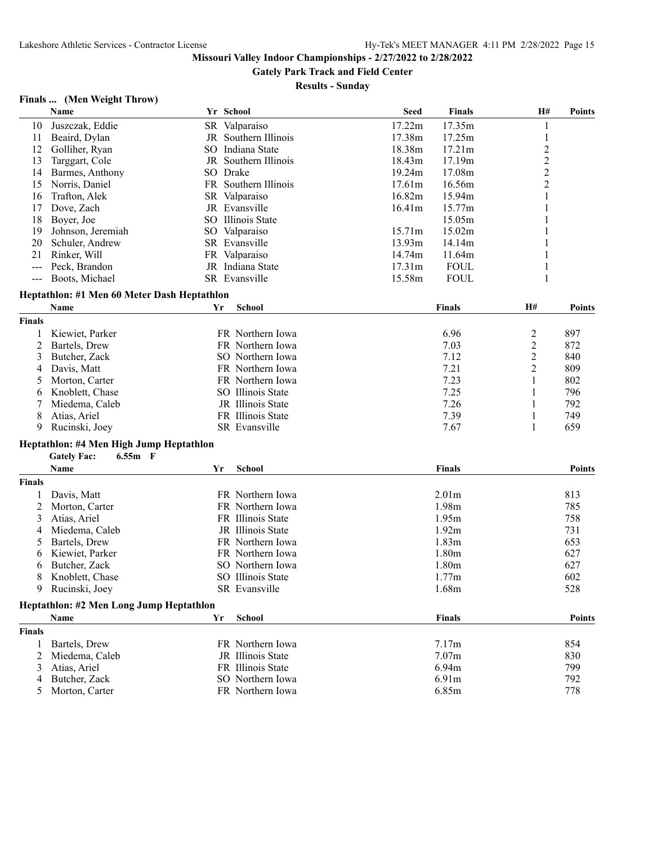**Gately Park Track and Field Center**

**Results - Sunday**

# **Finals ... (Men Weight Throw)**

|               | Name                                        |    | Yr School            | <b>Seed</b> | <b>Finals</b>     | H#                      | <b>Points</b> |
|---------------|---------------------------------------------|----|----------------------|-------------|-------------------|-------------------------|---------------|
| 10            | Juszczak, Eddie                             |    | SR Valparaiso        | 17.22m      | 17.35m            | 1                       |               |
| 11            | Beaird, Dylan                               |    | JR Southern Illinois | 17.38m      | 17.25m            | 1                       |               |
| 12            | Golliher, Ryan                              |    | SO Indiana State     | 18.38m      | 17.21m            | $\overline{c}$          |               |
| 13            | Targgart, Cole                              |    | JR Southern Illinois | 18.43m      | 17.19m            | $\overline{2}$          |               |
| 14            | Barmes, Anthony                             |    | SO Drake             | 19.24m      | 17.08m            | $\overline{c}$          |               |
| 15            | Norris, Daniel                              |    | FR Southern Illinois | 17.61m      | 16.56m            | $\overline{c}$          |               |
| 16            | Trafton, Alek                               |    | SR Valparaiso        | 16.82m      | 15.94m            | 1                       |               |
| 17            | Dove, Zach                                  |    | JR Evansville        | 16.41m      | 15.77m            |                         |               |
| 18            | Boyer, Joe                                  |    | SO Illinois State    |             | 15.05m            |                         |               |
| 19            | Johnson, Jeremiah                           |    | SO Valparaiso        | 15.71m      | 15.02m            |                         |               |
| 20            | Schuler, Andrew                             |    | SR Evansville        | 13.93m      | 14.14m            |                         |               |
| 21            | Rinker, Will                                |    | FR Valparaiso        | 14.74m      | 11.64m            |                         |               |
| $- - -$       | Peck, Brandon                               |    | JR Indiana State     | 17.31m      | <b>FOUL</b>       | 1                       |               |
| $- - -$       | Boots, Michael                              |    | SR Evansville        | 15.58m      | <b>FOUL</b>       | 1                       |               |
|               |                                             |    |                      |             |                   |                         |               |
|               | Heptathlon: #1 Men 60 Meter Dash Heptathlon |    |                      |             |                   |                         |               |
|               | Name                                        | Yr | <b>School</b>        |             | Finals            | H#                      | <b>Points</b> |
| <b>Finals</b> |                                             |    |                      |             |                   |                         |               |
|               | Kiewiet, Parker                             |    | FR Northern Iowa     |             | 6.96              | $\overline{\mathbf{c}}$ | 897           |
| 2             | Bartels, Drew                               |    | FR Northern Iowa     |             | 7.03              | $\overline{c}$          | 872           |
| 3             | Butcher, Zack                               |    | SO Northern Iowa     |             | 7.12              | $\overline{c}$          | 840           |
| 4             | Davis, Matt                                 |    | FR Northern Iowa     |             | 7.21              | 2                       | 809           |
| 5             | Morton, Carter                              |    | FR Northern Iowa     |             | 7.23              | 1                       | 802           |
| 6             | Knoblett, Chase                             |    | SO Illinois State    |             | 7.25              | 1                       | 796           |
|               | Miedema, Caleb                              |    | JR Illinois State    |             | 7.26              | 1                       | 792           |
| 8             | Atias, Ariel                                |    | FR Illinois State    |             | 7.39              | 1                       | 749           |
| 9             | Rucinski, Joey                              |    | SR Evansville        |             | 7.67              | $\mathbf{1}$            | 659           |
|               |                                             |    |                      |             |                   |                         |               |
|               | Heptathlon: #4 Men High Jump Heptathlon     |    |                      |             |                   |                         |               |
|               | <b>Gately Fac:</b><br>$6.55m$ F             |    |                      |             |                   |                         |               |
|               | Name                                        | Yr | School               |             | Finals            |                         | <b>Points</b> |
| <b>Finals</b> |                                             |    |                      |             |                   |                         |               |
| 1             | Davis, Matt                                 |    | FR Northern Iowa     |             | 2.01 <sub>m</sub> |                         | 813           |
| 2             | Morton, Carter                              |    | FR Northern Iowa     |             | 1.98m             |                         | 785           |
| 3             | Atias, Ariel                                |    | FR Illinois State    |             | 1.95m             |                         | 758           |
| 4             | Miedema, Caleb                              |    | JR Illinois State    |             | 1.92m             |                         | 731           |
| 5             | Bartels, Drew                               |    | FR Northern Iowa     |             | 1.83m             |                         | 653           |
| 6             | Kiewiet, Parker                             |    | FR Northern Iowa     |             | 1.80 <sub>m</sub> |                         | 627           |
| 6             | Butcher, Zack                               |    | SO Northern Iowa     |             | 1.80 <sub>m</sub> |                         | 627           |
| 8             | Knoblett, Chase                             |    | SO Illinois State    |             | 1.77m             |                         | 602           |
|               | Rucinski, Joey                              |    | SR Evansville        |             | 1.68m             |                         | 528           |
|               | Heptathlon: #2 Men Long Jump Heptathlon     |    |                      |             |                   |                         |               |
|               | Name                                        | Yr | School               |             | Finals            |                         | <b>Points</b> |
|               |                                             |    |                      |             |                   |                         |               |
| <b>Finals</b> |                                             |    |                      |             |                   |                         |               |
| 1             | Bartels, Drew                               |    | FR Northern Iowa     |             | 7.17m             |                         | 854           |
| 2             | Miedema, Caleb                              |    | JR Illinois State    |             | 7.07m             |                         | 830           |
| 3             | Atias, Ariel                                |    | FR Illinois State    |             | 6.94m             |                         | 799           |
| 4             | Butcher, Zack                               |    | SO Northern Iowa     |             | 6.91m             |                         | 792           |
| 5             | Morton, Carter                              |    | FR Northern Iowa     |             | 6.85m             |                         | 778           |
|               |                                             |    |                      |             |                   |                         |               |